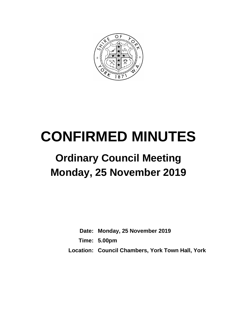

# **CONFIRMED MINUTES**

## **Ordinary Council Meeting Monday, 25 November 2019**

**Date: Monday, 25 November 2019 Time: 5.00pm Location: Council Chambers, York Town Hall, York**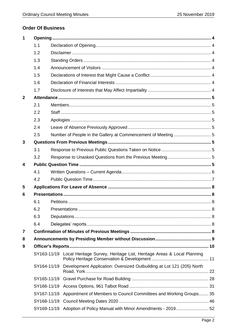## **Order Of Business**

| 1            |             |  |                                                                                   |  |  |  |
|--------------|-------------|--|-----------------------------------------------------------------------------------|--|--|--|
|              | 1.1         |  |                                                                                   |  |  |  |
|              | 1.2         |  |                                                                                   |  |  |  |
|              | 1.3         |  |                                                                                   |  |  |  |
|              | 1.4         |  |                                                                                   |  |  |  |
|              | 1.5         |  |                                                                                   |  |  |  |
|              | 1.6         |  |                                                                                   |  |  |  |
|              | 1.7         |  |                                                                                   |  |  |  |
| $\mathbf{2}$ |             |  |                                                                                   |  |  |  |
|              | 2.1         |  |                                                                                   |  |  |  |
|              | 2.2         |  |                                                                                   |  |  |  |
|              | 2.3         |  |                                                                                   |  |  |  |
|              | 2.4         |  |                                                                                   |  |  |  |
|              | 2.5         |  |                                                                                   |  |  |  |
| 3            |             |  |                                                                                   |  |  |  |
|              | 3.1         |  |                                                                                   |  |  |  |
|              | 3.2         |  |                                                                                   |  |  |  |
| 4            |             |  |                                                                                   |  |  |  |
|              | 4.1         |  |                                                                                   |  |  |  |
|              | 4.2         |  |                                                                                   |  |  |  |
| 5            |             |  |                                                                                   |  |  |  |
| 6            |             |  |                                                                                   |  |  |  |
|              | 6.1         |  |                                                                                   |  |  |  |
|              | 6.2         |  |                                                                                   |  |  |  |
|              | 6.3         |  |                                                                                   |  |  |  |
|              | 6.4         |  |                                                                                   |  |  |  |
| 7            |             |  |                                                                                   |  |  |  |
| 8            |             |  |                                                                                   |  |  |  |
| 9            |             |  |                                                                                   |  |  |  |
|              |             |  | SY163-11/19 Local Heritage Survey, Heritage List, Heritage Areas & Local Planning |  |  |  |
|              | SY164-11/19 |  | Development Application: Oversized Outbuilding at Lot 121 (205) North             |  |  |  |
|              |             |  |                                                                                   |  |  |  |
|              |             |  |                                                                                   |  |  |  |
|              | SY167-11/19 |  | Appointment of Members to Council Committees and Working Groups 35                |  |  |  |
|              |             |  |                                                                                   |  |  |  |
|              |             |  | SY169-11/19 Adoption of Policy Manual with Minor Amendments - 201952              |  |  |  |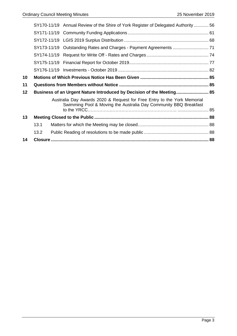|    |                                                                       | SY170-11/19 Annual Review of the Shire of York Register of Delegated Authority 56                                                           |  |
|----|-----------------------------------------------------------------------|---------------------------------------------------------------------------------------------------------------------------------------------|--|
|    |                                                                       |                                                                                                                                             |  |
|    |                                                                       |                                                                                                                                             |  |
|    |                                                                       |                                                                                                                                             |  |
|    |                                                                       |                                                                                                                                             |  |
|    |                                                                       |                                                                                                                                             |  |
|    |                                                                       |                                                                                                                                             |  |
| 10 |                                                                       |                                                                                                                                             |  |
| 11 |                                                                       |                                                                                                                                             |  |
|    | Business of an Urgent Nature Introduced by Decision of the Meeting 85 |                                                                                                                                             |  |
| 12 |                                                                       |                                                                                                                                             |  |
|    |                                                                       | Australia Day Awards 2020 & Request for Free Entry to the York Memorial<br>Swimming Pool & Moving the Australia Day Community BBQ Breakfast |  |
|    |                                                                       |                                                                                                                                             |  |
| 13 |                                                                       |                                                                                                                                             |  |
|    | 13.1                                                                  |                                                                                                                                             |  |
|    | 13.2                                                                  |                                                                                                                                             |  |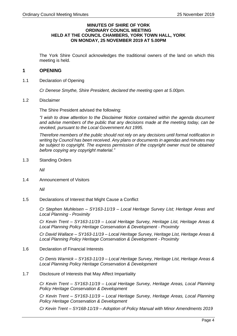## **MINUTES OF SHIRE OF YORK ORDINARY COUNCIL MEETING HELD AT THE COUNCIL CHAMBERS, YORK TOWN HALL, YORK ON MONDAY, 25 NOVEMBER 2019 AT 5.00PM**

The York Shire Council acknowledges the traditional owners of the land on which this meeting is held.

## <span id="page-3-0"></span>**1 OPENING**

<span id="page-3-1"></span>1.1 Declaration of Opening

*Cr Denese Smythe, Shire President, declared the meeting open at 5.00pm*.

<span id="page-3-2"></span>1.2 Disclaimer

The Shire President advised the following:

*"I wish to draw attention to the Disclaimer Notice contained within the agenda document and advise members of the public that any decisions made at the meeting today, can be revoked, pursuant to the Local Government Act 1995.*

*Therefore members of the public should not rely on any decisions until formal notification in writing by Council has been received. Any plans or documents in agendas and minutes may be subject to copyright. The express permission of the copyright owner must be obtained before copying any copyright material."*

<span id="page-3-3"></span>1.3 Standing Orders

*Nil*

<span id="page-3-4"></span>1.4 Announcement of Visitors

*Nil*

<span id="page-3-5"></span>1.5 Declarations of Interest that Might Cause a Conflict

*Cr Stephen Muhleisen – SY163-11/19 – Local Heritage Survey List; Heritage Areas and Local Planning - Proximity*

*Cr Kevin Trent – SY163-11/19 – Local Heritage Survey, Heritage List, Heritage Areas & Local Planning Policy Heritage Conservation & Development - Proximity*

*Cr David Wallace – SY163-11/19 – Local Heritage Survey, Heritage List, Heritage Areas & Local Planning Policy Heritage Conservation & Development - Proximity*

<span id="page-3-6"></span>1.6 Declaration of Financial Interests

*Cr Denis Warnick – SY163-11/19 – Local Heritage Survey, Heritage List, Heritage Areas & Local Planning Policy Heritage Conservation & Development*

<span id="page-3-7"></span>1.7 Disclosure of Interests that May Affect Impartiality

*Cr Kevin Trent – SY163-11/19 – Local Heritage Survey, Heritage Areas, Local Planning Policy Heritage Conservation & Development*

*Cr Kevin Trent – SY163-11/19 – Local Heritage Survey, Heritage Areas, Local Planning Policy Heritage Conservation & Development*

*Cr Kevin Trent – SY168-11/19 – Adoption of Policy Manual with Minor Amendments 2019*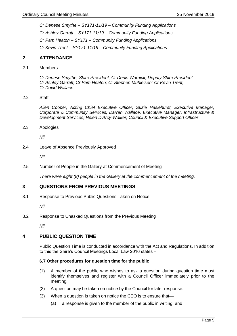*Cr Denese Smythe – SY171-11/19 – Community Funding Applications Cr Ashley Garratt – SY171-11/19 – Community Funding Applications*

*Cr Pam Heaton – SY171 – Community Funding Applications*

*Cr Kevin Trent – SY171-11/19 – Community Funding Applications*

## <span id="page-4-0"></span>**2 ATTENDANCE**

<span id="page-4-1"></span>2.1 Members

*Cr Denese Smythe, Shire President; Cr Denis Warnick, Deputy Shire President Cr Ashley Garratt; Cr Pam Heaton; Cr Stephen Muhleisen; Cr Kevin Trent; Cr David Wallace*

<span id="page-4-2"></span>2.2 Staff

*Allen Cooper, Acting Chief Executive Officer; Suzie Haslehurst, Executive Manager, Corporate & Community Services; Darren Wallace, Executive Manager, Infrastructure & Development Services; Helen D'Arcy-Walker, Council & Executive Support Officer*

<span id="page-4-3"></span>2.3 Apologies

*Nil*

<span id="page-4-4"></span>2.4 Leave of Absence Previously Approved

*Nil*

<span id="page-4-5"></span>2.5 Number of People in the Gallery at Commencement of Meeting

*There were eight (8) people in the Gallery at the commencement of the meeting.*

## <span id="page-4-6"></span>**3 QUESTIONS FROM PREVIOUS MEETINGS**

<span id="page-4-7"></span>3.1 Response to Previous Public Questions Taken on Notice

*Nil*

<span id="page-4-8"></span>3.2 Response to Unasked Questions from the Previous Meeting

*Nil*

## <span id="page-4-9"></span>**4 PUBLIC QUESTION TIME**

Public Question Time is conducted in accordance with the Act and Regulations. In addition to this the Shire's Council Meetings Local Law 2016 states –

## **6.7 Other procedures for question time for the public**

- (1) A member of the public who wishes to ask a question during question time must identify themselves and register with a Council Officer immediately prior to the meeting.
- (2) A question may be taken on notice by the Council for later response.
- (3) When a question is taken on notice the CEO is to ensure that—
	- (a) a response is given to the member of the public in writing; and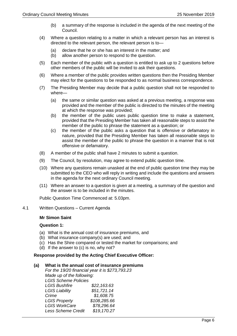- (b) a summary of the response is included in the agenda of the next meeting of the Council.
- (4) Where a question relating to a matter in which a relevant person has an interest is directed to the relevant person, the relevant person is to—
	- (a) declare that he or she has an interest in the matter; and
	- (b) allow another person to respond to the question.
- (5) Each member of the public with a question is entitled to ask up to 2 questions before other members of the public will be invited to ask their questions.
- (6) Where a member of the public provides written questions then the Presiding Member may elect for the questions to be responded to as normal business correspondence.
- (7) The Presiding Member may decide that a public question shall not be responded to where—
	- (a) the same or similar question was asked at a previous meeting, a response was provided and the member of the public is directed to the minutes of the meeting at which the response was provided;
	- (b) the member of the public uses public question time to make a statement, provided that the Presiding Member has taken all reasonable steps to assist the member of the public to phrase the statement as a question; or
	- (c) the member of the public asks a question that is offensive or defamatory in nature, provided that the Presiding Member has taken all reasonable steps to assist the member of the public to phrase the question in a manner that is not offensive or defamatory.
- (8) A member of the public shall have 2 minutes to submit a question.
- (9) The Council, by resolution, may agree to extend public question time.
- (10) Where any questions remain unasked at the end of public question time they may be submitted to the CEO who will reply in writing and include the questions and answers in the agenda for the next ordinary Council meeting.
- (11) Where an answer to a question is given at a meeting, a summary of the question and the answer is to be included in the minutes.

Public Question Time Commenced at: 5.03pm.

<span id="page-5-0"></span>4.1 Written Questions – Current Agenda

## **Mr Simon Saint**

## **Question 1:**

- (a) What is the annual cost of insurance premiums, and
- (b) What insurance company(s) are used; and
- (c) Has the Shire compared or tested the market for comparisons; and
- (d) If the answer to (c) is no, why not?

## **Response provided by the Acting Chief Executive Officer:**

## **(a) What is the annual cost of insurance premiums**

|                             | For the 19/20 financial year it is \$273,793.23 |
|-----------------------------|-------------------------------------------------|
| Made up of the following:   |                                                 |
| <b>LGIS Scheme Policies</b> |                                                 |
| <b>LGIS Bushfire</b>        | \$22,163.63                                     |
| <b>LGIS Liability</b>       | \$51,721.14                                     |
| Crime                       | \$1,608.75                                      |
| <b>LGIS Property</b>        | \$108,285.66                                    |
| <b>LGIS WorkCare</b>        | \$78,296.64                                     |
| <b>Less Scheme Credit</b>   | \$19,170.27                                     |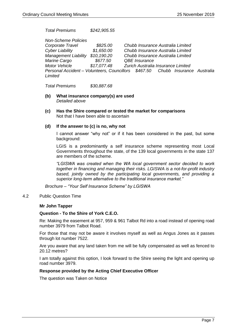*Total Premiums \$242,905.55*

*Non-Scheme Policies Corporate Travel \$825.00 Chubb Insurance Australia Limited Cyber Liability \$1,650.00 Chubb Insurance Australia Limited Management Liability* \$10,190.20 *Marine Cargo \$677.50 QBE Insurance Motor Vehicle \$17,077.48 Zurich Australia Insurance Limited Personal Accident – Volunteers, Councillors \$467.50 Chubb Insurance Australia Limited*

*Total Premiums \$30,887.68*

- **(b) What insurance company(s) are used** *Detailed above*
- **(c) Has the Shire compared or tested the market for comparisons** Not that I have been able to ascertain

## **(d) If the answer to (c) is no, why not**

I cannot answer "why not" or if it has been considered in the past, but some background:

LGIS is a predominantly a self insurance scheme representing most Local Governments throughout the state, of the 139 local governments in the state 137 are members of the scheme.

*"LGISWA was created when the WA local government sector decided to work together in financing and managing their risks. LGISWA is a not-for-profit industry based, jointly owned by the participating local governments, and providing a superior long-term alternative to the traditional insurance market."* 

*Brochure – "Your Self Insurance Scheme" by LGISWA*

<span id="page-6-0"></span>4.2 Public Question Time

## **Mr John Tapper**

## **Question - To the Shire of York C.E.O.**

Re: Making the easement at 957, 959 & 961 Talbot Rd into a road instead of opening road number 3979 from Talbot Road.

For those that may not be aware it involves myself as well as Angus Jones as it passes through lot number 7522.

Are you aware that any land taken from me will be fully compensated as well as fenced to 20.12 metres?

I am totally against this option, I look forward to the Shire seeing the light and opening up road number 3979.

## **Response provided by the Acting Chief Executive Officer**

The question was Taken on Notice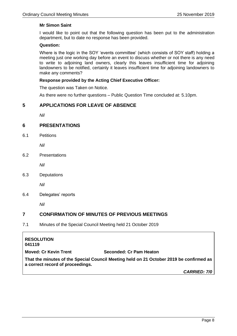## **Mr Simon Saint**

I would like to point out that the following question has been put to the administration department, but to date no response has been provided.

## **Question:**

Where is the logic in the SOY 'events committee' (which consists of SOY staff) holding a meeting just one working day before an event to discuss whether or not there is any need to write to adjoining land owners, clearly this leaves insufficient time for adjoining landowners to be notified, certainly it leaves insufficient time for adjoining landowners to make any comments?

## **Response provided by the Acting Chief Executive Officer:**

The question was Taken on Notice.

As there were no further questions – Public Question Time concluded at: 5.10pm.

## <span id="page-7-0"></span>**5 APPLICATIONS FOR LEAVE OF ABSENCE**

*Nil*

## <span id="page-7-1"></span>**6 PRESENTATIONS**

<span id="page-7-2"></span>6.1 Petitions

*Nil*

<span id="page-7-3"></span>6.2 Presentations

*Nil*

<span id="page-7-4"></span>6.3 Deputations

*Nil*

<span id="page-7-5"></span>6.4 Delegates' reports

*Nil*

## <span id="page-7-6"></span>**7 CONFIRMATION OF MINUTES OF PREVIOUS MEETINGS**

7.1 Minutes of the Special Council Meeting held 21 October 2019

## **RESOLUTION 041119 Moved: Cr Kevin Trent Seconded: Cr Pam Heaton**

**That the minutes of the Special Council Meeting held on 21 October 2019 be confirmed as a correct record of proceedings.**

*CARRIED: 7/0*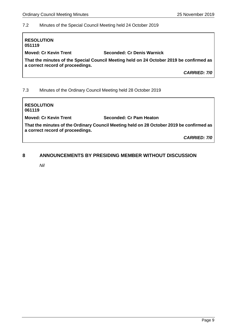## 7.2 Minutes of the Special Council Meeting held 24 October 2019

| <b>RESOLUTION</b><br>051119                                |                                                                                         |  |  |
|------------------------------------------------------------|-----------------------------------------------------------------------------------------|--|--|
| <b>Moved: Cr Kevin Trent</b><br>Seconded: Cr Denis Warnick |                                                                                         |  |  |
| a correct record of proceedings.                           | That the minutes of the Special Council Meeting held on 24 October 2019 be confirmed as |  |  |
|                                                            | <b>CARRIED: 7/0</b>                                                                     |  |  |
| 7.3                                                        | Minutes of the Ordinary Council Meeting held 28 October 2019                            |  |  |

**RESOLUTION 061119 Moved: Cr Kevin Trent Seconded: Cr Pam Heaton That the minutes of the Ordinary Council Meeting held on 28 October 2019 be confirmed as a correct record of proceedings.** *CARRIED: 7/0*

## <span id="page-8-0"></span>**8 ANNOUNCEMENTS BY PRESIDING MEMBER WITHOUT DISCUSSION**

*Nil*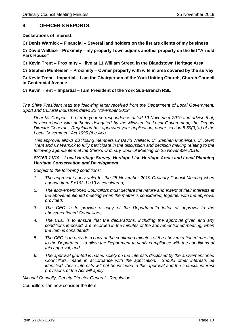## <span id="page-9-0"></span>**9 OFFICER'S REPORTS**

**Declarations of Interest:**

**Cr Denis Warnick – Financial – Several land holders on the list are clients of my business**

**Cr David Wallace – Proximity – my property I own adjoins another property on the list "Arnold Park House"**

**Cr Kevin Trent – Proximity – I live at 11 William Street, in the Blandstown Heritage Area**

**Cr Stephen Muhleisen – Proximity – Owner property with wife in area covered by the survey**

**Cr Kevin Trent – Impartial – I am the Chairperson of the York Uniting Church, Church Council in Centennial Avenue**

## **Cr Kevin Trent – Impartial – I am President of the York Sub-Branch RSL**

*The Shire President read the following letter received from the Department of Local Government, Sport and Cultural Industries dated 22 November 2019:*

*Dear Mr Cooper – I refer to your correspondence dated 19 November 2019 and advise that, in accordance with authority delegated by the Minister for Local Government, the Deputy Director General – Regulation has approved your application, under section 5.69(3)(a) of the Local Government Act 1995 (the Act).*

*This approval allows disclosing members Cr David Wallace, Cr Stephen Muhleisen, Cr Kevin Trent and Cr Warnick to fully participate in the discussion and decision making relating to the following agenda item at the Shire's Ordinary Council Meeting on 25 November 2019:*

## *SY163-11/19 – Local Heritage Survey, Heritage List, Heritage Areas and Local Planning Heritage Conservation and Development*

*Subject to the following conditions:*

- *1. The approval is only valid for the 25 November 2019 Ordinary Council Meeting when agenda item SY163-11/19 is considered;*
- *2. The abovementioned Councillors must declare the nature and extent of their interests at the abovementioned meeting when the matter is considered, together with the approval provided;*
- *3. The CEO is to provide a copy of the Department's letter of approval to the abovementioned Councillors;*
- *4. The CEO is to ensure that the declarations, including the approval given and any conditions imposed, are recorded in the minutes of the abovementioned meeting, when the item is considered;*
- *5. The CEO is to provide a copy of the confirmed minutes of the abovementioned meeting to the Department, to allow the Department to verify compliance with the conditions of this approval, and*
- *6. The approval granted is based solely on the interests disclosed by the abovementioned Councillors, made in accordance with the application. Should other interests be identified, these interests will not be included in this approval and the financial interest provisions of the Act will apply.*

*Michael Connolly, Deputy Director General - Regulation*

<span id="page-9-1"></span>Councillors can now consider the item.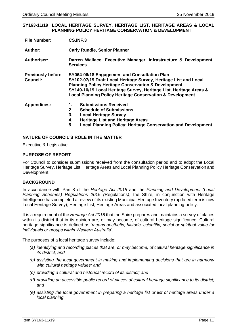## **SY163-11/19 LOCAL HERITAGE SURVEY, HERITAGE LIST, HERITAGE AREAS & LOCAL PLANNING POLICY HERITAGE CONSERVATION & DEVELOPMENT**

| <b>File Number:</b>                         | CS.INF.3                                                                                                                                                                                                                                                                                                                         |  |  |
|---------------------------------------------|----------------------------------------------------------------------------------------------------------------------------------------------------------------------------------------------------------------------------------------------------------------------------------------------------------------------------------|--|--|
| <b>Author:</b>                              | <b>Carly Rundle, Senior Planner</b>                                                                                                                                                                                                                                                                                              |  |  |
| <b>Authoriser:</b>                          | Darren Wallace, Executive Manager, Infrastructure & Development<br><b>Services</b>                                                                                                                                                                                                                                               |  |  |
| <b>Previously before</b><br><b>Council:</b> | SY064-06/18 Engagement and Consultation Plan<br>SY102-07/19 Draft Local Heritage Survey, Heritage List and Local<br><b>Planning Policy Heritage Conservation &amp; Development</b><br>SY149-10/19 Local Heritage Survey, Heritage List, Heritage Areas &<br><b>Local Planning Policy Heritage Conservation &amp; Development</b> |  |  |
| <b>Appendices:</b>                          | <b>Submissions Received</b><br>1.<br>2.<br><b>Schedule of Submissions</b><br>3.<br><b>Local Heritage Survey</b><br><b>Heritage List and Heritage Areas</b><br>4.<br>5.<br><b>Local Planning Policy: Heritage Conservation and Development</b>                                                                                    |  |  |

## **NATURE OF COUNCIL'S ROLE IN THE MATTER**

Executive & Legislative.

## **PURPOSE OF REPORT**

For Council to consider submissions received from the consultation period and to adopt the Local Heritage Survey, Heritage List, Heritage Areas and Local Planning Policy Heritage Conservation and Development.

## **BACKGROUND**

In accordance with Part 8 of the *Heritage Act 2018* and the *Planning and Development (Local Planning Schemes) Regulations 2015 (*Regulations*)*, the Shire, in conjunction with Heritage Intelligence has completed a review of its existing Municipal Heritage Inventory (updated term is now Local Heritage Survey), Heritage List, Heritage Areas and associated local planning policy.

It is a requirement of the *Heritage Act 2018* that the Shire prepares and maintains a survey of places within its district that in its opinion are, or may become, of cultural heritage significance. Cultural heritage significance is defined as *'means aesthetic, historic, scientific, social or spiritual value for individuals or groups within Western Australia'*.

The purposes of a local heritage survey include:

- *(a) identifying and recording places that are, or may become, of cultural heritage significance in its district; and*
- *(b) assisting the local government in making and implementing decisions that are in harmony with cultural heritage values; and*
- *(c) providing a cultural and historical record of its district; and*
- *(d) providing an accessible public record of places of cultural heritage significance to its district; and*
- *(e) assisting the local government in preparing a heritage list or list of heritage areas under a local planning.*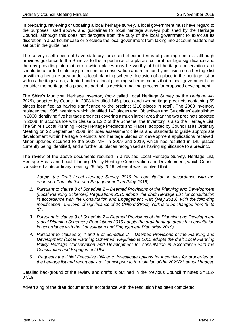In preparing, reviewing or updating a local heritage survey, a local government must have regard to the purposes listed above, and guidelines for local heritage surveys published by the Heritage Council, although this does not derogate from the duty of the local government to exercise its discretion in a particular case or preclude the local government from taking into account matters not set out in the guidelines.

The survey itself does not have statutory force and effect in terms of planning controls, although provides guidance to the Shire as to the importance of a place's cultural heritage significance and thereby providing information on which places may be worthy of built heritage conservation and should be afforded statutory protection for conservation and retention by inclusion on a heritage list or within a heritage area under a local planning scheme. Inclusion of a place in the heritage list or within a heritage area, adopted under a local planning scheme means that a local government can consider the heritage of a place as part of its decision-making process for proposed development.

The Shire's Municipal Heritage Inventory (now called Local Heritage Survey by the *Heritage Act 2018*), adopted by Council in 2008 identified 145 places and two heritage precincts containing 69 places identified as having significance to the precinct (216 places in total). The 2008 inventory replaced the 1995 inventory which identified 142 places and 'Objectives and Guidelines' established in 2000 identifying five heritage precincts covering a much larger area than the two precincts adopted in 2008. In accordance with clause 5.1.2.2 of the Scheme, the Inventory is also the Heritage List. The Shire's Local Planning Policy Heritage Precincts and Places, adopted by Council at its Ordinary Meeting on 22 September 2008, includes assessment criteria and standards to guide appropriate development within heritage precincts and heritage places on development applications received. Minor updates occurred to the 2008 MHI in 2009 and 2019, which has resulted in 145 places currently being identified, and a further 68 places recognised as having significance to a precinct.

The review of the above documents resulted in a revised Local Heritage Survey, Heritage List, Heritage Areas and Local Planning Policy Heritage Conservation and Development, which Council considered at its ordinary meeting 29 July 2019, where it was resolved that it:

- *1. Adopts the Draft Local Heritage Survey 2019 for consultation in accordance with the endorsed Consultation and Engagement Plan (May 2018).*
- *2. Pursuant to clause 8 of Schedule 2 – Deemed Provisions of the Planning and Development (Local Planning Schemes) Regulations 2015 adopts the draft Heritage List for consultation in accordance with the Consultation and Engagement Plan (May 2018), with the following modification - the level of significance of 34 Clifford Street, York is to be changed from 'B' to 'C'.*
- *3. Pursuant to clause 9 of Schedule 2 – Deemed Provisions of the Planning and Development (Local Planning Schemes) Regulations 2015 adopts the draft heritage areas for consultation in accordance with the Consultation and Engagement Plan (May 2018).*
- *4. Pursuant to clauses 3, 4 and 9 of Schedule 2 – Deemed Provisions of the Planning and Development (Local Planning Schemes) Regulations 2015 adopts the draft Local Planning Policy Heritage Conservation and Development for consultation in accordance with the Consultation and Engagement Plan.*
- *5. Requests the Chief Executive Officer to investigate options for incentives for properties on the heritage list and report back to Council prior to formulation of the 2020/21 annual budget.*

Detailed background of the review and drafts is outlined in the previous Council minutes SY102- 07/19.

Advertising of the draft documents in accordance with the resolution has been completed.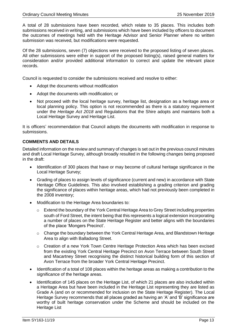A total of 28 submissions have been recorded, which relate to 35 places. This includes both submissions received in writing, and submissions which have been included by officers to document the outcomes of meetings held with the Heritage Advisor and Senior Planner where no written submission was received, but modifications were requested.

Of the 28 submissions, seven (7) objections were received to the proposed listing of seven places. All other submissions were either in support of the proposed listing(s), raised general matters for consideration and/or provided additional information to correct and update the relevant place records.

Council is requested to consider the submissions received and resolve to either:

- Adopt the documents without modification
- Adopt the documents with modification; or
- Not proceed with the local heritage survey, heritage list, designation as a heritage area or local planning policy. This option is not recommended as there is a statutory requirement under the *Heritage Act 2018* and Regulations that the Shire adopts and maintains both a Local Heritage Survey and Heritage List.

It is officers' recommendation that Council adopts the documents with modification in response to submissions.

## **COMMENTS AND DETAILS**

Detailed information on the review and summary of changes is set out in the previous council minutes and draft Local Heritage Survey, although broadly resulted in the following changes being proposed in the draft:

- Identification of 300 places that have or may become of cultural heritage significance in the Local Heritage Survey;
- Grading of places to assign levels of significance (current and new) in accordance with State Heritage Office Guidelines. This also involved establishing a grading criterion and grading the significance of places within heritage areas, which had not previously been completed in the 2008 inventory;
- Modification to the Heritage Area boundaries to:
	- o Extend the boundary of the York Central Heritage Area to Grey Street including properties south of Ford Street, the intent being that this represents a logical extension incorporating a number of places on the State Heritage Register and better aligns with the boundaries of the place 'Mongers Precinct'.
	- o Change the boundary between the York Central Heritage Area, and Blandstown Heritage Area to align with Balladong Street.
	- o Creation of a new York Town Centre Heritage Protection Area which has been excised from the existing York Central Heritage Precinct on Avon Terrace between South Street and Macartney Street recognising the distinct historical building form of this section of Avon Terrace from the broader York Central Heritage Precinct.
- Identification of a total of 108 places within the heritage areas as making a contribution to the significance of the heritage areas.
- Identification of 145 places on the Heritage List, of which 21 places are also included within a Heritage Area but have been included in the Heritage List representing they are listed as Grade A (and on or recommended for inclusion on the State Heritage Register). The Local Heritage Survey recommends that all places graded as having an 'A' and 'B' significance are worthy of built heritage conservation under the Scheme and should be included on the Heritage List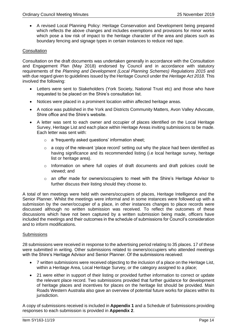• A revised Local Planning Policy: Heritage Conservation and Development being prepared which reflects the above changes and includes exemptions and provisions for minor works which pose a low risk of impact to the heritage character of the area and places such as boundary fencing and signage types in certain instances to reduce red tape.

## **Consultation**

Consultation on the draft documents was undertaken generally in accordance with the Consultation and Engagement Plan (May 2018) endorsed by Council and in accordance with statutory requirements of the *Planning and Development (Local Planning Schemes) Regulations 2015* and with due regard given to guidelines issued by the Heritage Council under the *Heritage Act 2018*. This involved the following:

- Letters were sent to Stakeholders (York Society, National Trust etc) and those who have requested to be placed on the Shire's consultation list.
- Notices were placed in a prominent location within affected heritage areas.
- A notice was published in the York and Districts Community Matters, Avon Valley Advocate, Shire office and the Shire's website.
- A letter was sent to each owner and occupier of places identified on the Local Heritage Survey, Heritage List and each place within Heritage Areas inviting submissions to be made. Each letter was sent with:
	- o a 'frequently asked questions' information sheet;
	- $\circ$  a copy of the relevant 'place record' setting out why the place had been identified as having significance and its recommended listing (i.e local heritage survey, heritage list or heritage area).
	- $\circ$  Information on where full copies of draft documents and draft policies could be viewed; and
	- o an offer made for owners/occupiers to meet with the Shire's Heritage Advisor to further discuss their listing should they choose to.

A total of ten meetings were held with owners/occupiers of places, Heritage Intelligence and the Senior Planner. Whilst the meetings were informal and in some instances were followed up with a submission by the owner/occupier of a place, in other instances changes to place records were discussed although no written submission was received. To reflect the outcomes of these discussions which have not been captured by a written submission being made, officers have included the meetings and their outcomes in the schedule of submissions for Council's consideration and to inform modifications.

## **Submissions**

28 submissions were received in response to the advertising period relating to 35 places. 17 of these were submitted in writing. Other submissions related to owners/occupiers who attended meetings with the Shire's Heritage Advisor and Senior Planner. Of the submissions received:

- 7 written submissions were received objecting to the inclusion of a place on the Heritage List, within a Heritage Area, Local Heritage Survey, or the category assigned to a place;
- 21 were either in support of their listing or provided further information to correct or update the relevant place record. Two submissions provided that further guidance for development of heritage places and incentives for places on the heritage list should be provided. Main Roads Western Australia also gave an overview of potential future works for places within its jurisdiction.

A copy of submissions received is included in **Appendix 1** and a Schedule of Submissions providing responses to each submission is provided in **Appendix 2**.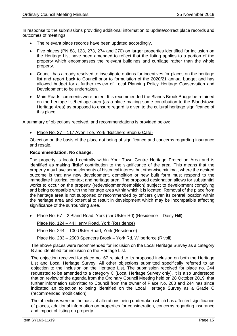In response to the submissions providing additional information to update/correct place records and outcomes of meetings:

- The relevant place records have been updated accordingly.
- Five places (PN 88, 123, 273, 274 and 270) on larger properties identified for inclusion on the Heritage List have been amended to reflect that the listing applies to a portion of the property which encompasses the relevant buildings and curtilage rather than the whole property.
- Council has already resolved to investigate options for incentives for places on the heritage list and report back to Council prior to formulation of the 2020/21 annual budget and has allowed budget for a further review of Local Planning Policy Heritage Conservation and Development to be undertaken.
- Main Roads comments were noted. It is recommended the Blands Brook Bridge be retained on the heritage list/heritage area (as a place making some contribution to the Blandstown Heritage Area) as proposed to ensure regard is given to the cultural heritage significance of this place.

A summary of objections received, and recommendations is provided below:

• Place No. 37 – 117 Avon Tce, York (Butchers Shop & Café)

Objection on the basis of the place not being of significance and concerns regarding insurance and resale.

## **Recommendation: No change.**

The property is located centrally within York Town Centre Heritage Protection Area and is identified as making '**little'** contribution to the significance of the area. This means that the property may have some elements of historical interest but otherwise minimal, where the desired outcome is that any new development, demolition or new built form must respond to the immediate historical context and heritage area. The proposed designation allows for substantial works to occur on the property (redevelopment/demolition) subject to development complying and being compatible with the heritage area within which it is located. Removal of the place from the heritage area is not supported or recommended by officers given its central location within the heritage area and potential to result in development which may be incompatible affecting significance of the surrounding area.

• Place No. 67 – 2 Bland Road, York (cnr Ulster Rd) (Residence – Daisy Hill),

Place No. 124 – 44 Henry Road, York (Residence)

Place No. 244 – 100 Ulster Road, York (Residence)

Place No. 283 – 2500 Spencers Brook – York Rd, Wilberforce (Rivoli)

The above places were recommended for inclusion on the Local Heritage Survey as a category B and identified for inclusion on the Heritage List.

The objection received for place no. 67 related to its proposed inclusion on both the Heritage List and Local Heritage Survey. All other objections submitted specifically referred to an objection to the inclusion on the Heritage List. The submission received for place no. 244 requested to be amended to a category C (Local Heritage Survey only). It is also understood that on review of the agenda from the Ordinary Council Meeting held on 28 October 2019, that further information submitted to Council from the owner of Place No. 283 and 244 has since indicated an objection to being identified on the Local Heritage Survey as a Grade C (recommended modification).

The objections were on the basis of alterations being undertaken which has affected significance of places, additional information on properties for consideration, concerns regarding insurance and impact of listing on property.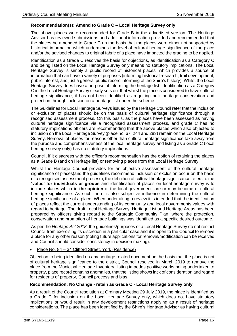## **Recommendation(s): Amend to Grade C – Local Heritage Survey only**

The above places were recommended for Grade B in the advertised version. The Heritage Advisor has reviewed submissions and additional information provided and recommended that the places be amended to Grade C on the basis that the places were either not supported by historical information which undermines the level of cultural heritage significance of the place and/or the advised changes to original fabric of a place have impacted the grading to be applied.

Identification as a Grade C resolves the basis for objections, as identification as a Category C and being listed on the Local Heritage Survey only means no statutory implications. The Local Heritage Survey is simply a public record of historical places, which provides a source of information that can have a variety of purposes (informing historical research, trail development, public interest, and just a general public record informing of the Shire's history). Whilst the Local Heritage Survey does have a purpose of informing the heritage list, identification as a Category C in the Local Heritage Survey clearly sets out that whilst the place is considered to have cultural heritage significance, it has not been identified as requiring built heritage conservation and protection through inclusion on a heritage list under the scheme.

The Guidelines for Local Heritage Surveys issued by the Heritage Council refer that the inclusion or exclusion of places should be on the basis of cultural heritage significance through a recognised assessment process. On this basis, as the places have been assessed as having cultural heritage significance via a recognised assessment process, and grade C has no statutory implications officers are recommending that the above places which also objected to inclusion on the Local Heritage Survey (place no. 67, 244 and 283) remain on the Local Heritage Survey. Removal of places for reasons other than cultural heritage significance take away from the purpose and comprehensiveness of the local heritage survey and listing as a Grade C (local heritage survey only) has no statutory implications.

Council, if it disagrees with the officer's recommendation has the option of retaining the places as a Grade B (and on Heritage list) or removing places from the Local Heritage Survey.

Whilst the Heritage Council provides for an objective assessment of the cultural heritage significance of places(and the guidelines recommend inclusion or exclusion occur on the basis of a recognised assessment process), the definition of cultural heritage significance refers to the **'value' for individuals or groups** and identification of places on local heritage survey is to include places which **in the opinion** of the local government, are or may become of cultural heritage significance. As such there is also subjective influence in determining the cultural heritage significance of a place. When undertaking a review it is intended that the identification of places reflect the current understanding of its community and local governments values with regard to heritage. The draft Local Heritage Survey, Heritage List and Heritage Areas has been prepared by officers giving regard to the Strategic Community Plan, where the protection, conservation and promotion of heritage buildings was identified as a specific desired outcome.

As per the *Heritage Act 2018*, the guidelines/purposes of a Local Heritage Survey do not restrict Council from exercising its discretion in a particular case and it is open to the Council to remove a place for any other reason (noting future applications for removal/modification can be received and Council should consider consistency in decision making).

## • Place No. 84 – 34 Clifford Street, York (Residence)

Objection to being identified on any heritage related document on the basis that the place is not of cultural heritage significance to the district, Council resolved in March 2019 to remove the place from the Municipal Heritage Inventory, listing impedes positive works being undertaken to property, place record contains anomalies, that the listing shows lack of consideration and regard for residents of property, Council process and bias.

## **Recommendation: No Change - retain as Grade C - Local Heritage Survey only**

As a result of the Council resolution at Ordinary Meeting 29 July 2019, the place is identified as a Grade C for inclusion on the Local Heritage Survey only, which does not have statutory implications or would result in any development restrictions applying as a result of heritage considerations. The place has been identified by the Shire's Heritage Advisor as having cultural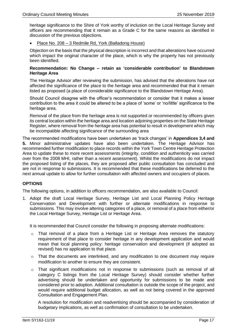heritage significance to the Shire of York worthy of inclusion on the Local Heritage Survey and officers are recommending that it remain as a Grade C for the same reasons as identified in discussion of the previous objections.

• Place No. 208 – 3 Redmile Rd, York (Balladong House)

Objection on the basis that the physical description is incorrect and that alterations have occurred which impact the original character of the place, which is why the property has not previously been identified.

## **Recommendation: No Change – retain as 'considerable contribution' to Blandstown Heritage Area**

The Heritage Advisor after reviewing the submission, has advised that the alterations have not affected the significance of the place to the heritage area and recommended that that it remain listed as proposed (a place of considerable significance to the Blandstown Heritage Area).

Should Council disagree with the officer's recommendation or consider that it makes a lesser contribution to the area it could be altered to be a place of 'some' or 'no/little' significance to the heritage area.

Removal of the place from the heritage area is not supported or recommended by officers given its central location within the heritage area and location adjoining properties on the State Heritage Register, where removal from the heritage area has potential to result in development which may be incompatible affecting significance of the surrounding area

The recommended modifications have been undertaken as 'track changes' in **Appendices 3,4 and 5.** Minor administrative updates have also been undertaken. The Heritage Advisor has recommended further modification to place records within the York Town Centre Heritage Protection Area to update these to more recent assessments (integrity, condition and authenticity was carried over from the 2008 MHI, rather than a recent assessment). Whilst the modifications do not impact the proposed listing of the places, they are proposed after public consultation has concluded and are not in response to submissions. It is recommended that these modifications be deferred to the next annual update to allow for further consultation with affected owners and occupiers of places.

## **OPTIONS**

The following options, in addition to officers recommendation, are also available to Council:

1. Adopt the draft Local Heritage Survey, Heritage List and Local Planning Policy Heritage Conservation and Development with further or alternate modifications in response to submissions. This may involve altering categories of a place, or removal of a place from either/or the Local Heritage Survey, Heritage List or Heritage Area.

It is recommended that Council consider the following in proposing alternate modifications:

- o That removal of a place from a Heritage List or Heritage Area removes the statutory requirement of that place to consider heritage in any development application and would mean that local planning policy: heritage conservation and development (if adopted as revised) has no application to that place.
- $\circ$  That the documents are interlinked, and any modification to one document may require modification to another to ensure they are consistent.
- $\circ$  That significant modifications not in response to submissions (such as removal of all category C listings from the Local Heritage Survey) should consider whether further advertising should be undertaken and opportunity for submissions to be made and considered prior to adoption. Additional consultation is outside the scope of the project, and would require additional budget allocation, as well as not being covered in the approved Consultation and Engagement Plan.

A resolution for modification and readvertising should be accompanied by consideration of budgetary implications, as well as confirmation of consultation to be undertaken.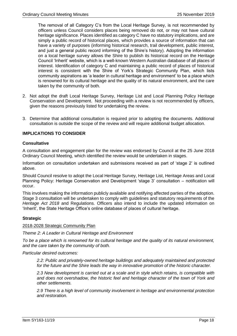The removal of all Category C's from the Local Heritage Survey, is not recommended by officers unless Council considers places being removed do not, or may not have cultural heritage significance. Places identified as category C have no statutory implications, and are simply a public record of historical places, which provides a source of information that can have a variety of purposes (informing historical research, trail development, public interest, and just a general public record informing of the Shire's history). Adopting the information on a local heritage survey allows the Shire to publish its historical record on the Heritage Council 'Inherit' website, which is a well-known Western Australian database of all places of interest. Identification of category C and maintaining a public record of places of historical interest is consistent with the Shire of York's Strategic Community Plan, which lists community aspirations as 'a leader in cultural heritage and environment' to be a place which is renowned for its cultural heritage and the quality of its natural environment, and the care taken by the community of both.

- 2. Not adopt the draft Local Heritage Survey, Heritage List and Local Planning Policy Heritage Conservation and Development. Not proceeding with a review is not recommended by officers, given the reasons previously listed for undertaking the review.
- 3. Determine that additional consultation is required prior to adopting the documents. Additional consultation is outside the scope of the review and will require additional budget allocation.

## **IMPLICATIONS TO CONSIDER**

## **Consultative**

A consultation and engagement plan for the review was endorsed by Council at the 25 June 2018 Ordinary Council Meeting, which identified the review would be undertaken in stages.

Information on consultation undertaken and submissions received as part of 'stage 2' is outlined above.

Should Council resolve to adopt the Local Heritage Survey, Heritage List, Heritage Areas and Local Planning Policy: Heritage Conservation and Development 'stage 3' consultation – notification will occur.

This involves making the information publicly available and notifying affected parties of the adoption. Stage 3 consultation will be undertaken to comply with guidelines and statutory requirements of the *Heritage Act 2018* and Regulations. Officers also intend to include the updated information on 'Inherit', the State Heritage Office's online database of places of cultural heritage.

## **Strategic**

## 2018-2028 Strategic Community Plan

*Theme 2: A Leader in Cultural Heritage and Environment*

*To be a place which is renowned for its cultural heritage and the quality of its natural environment, and the care taken by the community of both.* 

*Particular desired outcomes:*

*2.2: Public and privately-owned heritage buildings and adequately maintained and protected for the future and the Shire leads the way in innovative promotion of the historic character.* 

*2.3 New development is carried out at a scale and in style which retains, is compatible with and does not overshadow, the historic feel and heritage character of the town of York and other settlements.*

*2.9 There is a high level of community involvement in heritage and environmental protection and restoration.*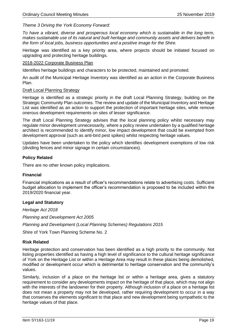## *Theme 3 Driving the York Economy Forward:*

*To have a vibrant, diverse and prosperous local economy which is sustainable in the long term, makes sustainable use of its natural and built heritage and community assets and delivers benefit in the form of local jobs, business opportunities and a positive image for the Shire.* 

Heritage was identified as a key priority area, where projects should be initiated focused on upgrading and protecting heritage buildings.

## 2018-2022 Corporate Business Plan

Identifies heritage buildings and characters to be protected, maintained and promoted.

An audit of the Municipal Heritage Inventory was identified as an action in the Corporate Business Plan.

## Draft Local Planning Strategy

Heritage is identified as a strategic priority in the draft Local Planning Strategy, building on the Strategic Community Plan outcomes. The review and update of the Municipal Inventory and Heritage List was identified as an action to support the protection of important heritage sites, while remove onerous development requirements on sites of lesser significance.

The draft Local Planning Strategy advises that the local planning policy whilst necessary may regulate minor development unnecessarily, where a policy review undertaken by a qualified heritage architect is recommended to identify minor, low impact development that could be exempted from development approval (such as anti-bird pest spikes) whilst respecting heritage values.

Updates have been undertaken to the policy which identifies development exemptions of low risk (dividing fences and minor signage in certain circumstances).

## **Policy Related**

There are no other known policy implications.

## **Financial**

Financial implications as a result of officer's recommendations relate to advertising costs. Sufficient budget allocation to implement the officer's recommendation is proposed to be included within the 2019/2020 financial year.

## **Legal and Statutory**

*Heritage Act 2018*

*Planning and Development Act 2005*

*Planning and Development (Local Planning Schemes) Regulations 2015*

Shire of York Town Planning Scheme No. 2

## **Risk Related**

Heritage protection and conservation has been identified as a high priority to the community. Not listing properties identified as having a high level of significance to the cultural heritage significance of York on the Heritage List or within a Heritage Area may result in these places being demolished, modified or development occur which is detrimental to heritage conservation and the community's values.

Similarly, inclusion of a place on the heritage list or within a heritage area, gives a statutory requirement to consider any developments impact on the heritage of that place, which may not align with the interests of the landowner for their property. Although inclusion of a place on a heritage list does not mean a property may not be developed, rather requiring development to occur in a way that conserves the elements significant to that place and new development being sympathetic to the heritage values of that place.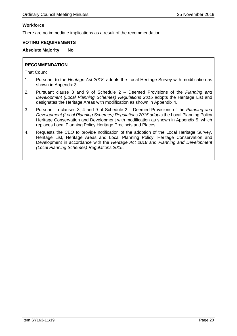## **Workforce**

There are no immediate implications as a result of the recommendation.

## **VOTING REQUIREMENTS**

## **Absolute Majority: No**

## **RECOMMENDATION**

That Council:

- 1. Pursuant to the *Heritage Act 2018*, adopts the Local Heritage Survey with modification as shown in Appendix 3.
- 2. Pursuant clause 8 and 9 of Schedule 2 Deemed Provisions of the *Planning and Development (Local Planning Schemes) Regulations 2015* adopts the Heritage List and designates the Heritage Areas with modification as shown in Appendix 4.
- 3. Pursuant to clauses 3, 4 and 9 of Schedule 2 Deemed Provisions of the *Planning and Development (Local Planning Schemes) Regulations 2015 adopts* the Local Planning Policy Heritage Conservation and Development with modification as shown in Appendix 5, which replaces Local Planning Policy Heritage Precincts and Places.
- 4. Requests the CEO to provide notification of the adoption of the Local Heritage Survey, Heritage List, Heritage Areas and Local Planning Policy: Heritage Conservation and Development in accordance with the *Heritage Act 2018* and *Planning and Development (Local Planning Schemes) Regulations 2015*.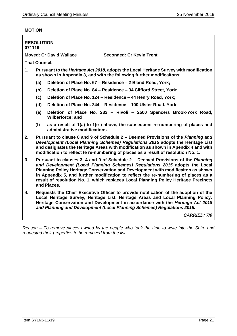## **MOTION**

r

|                | <b>RESOLUTION</b><br>071119                                                                                                                                                                                                                                                                                                                                                                                                                    |                               |                                                                                                                                                                        |                     |  |
|----------------|------------------------------------------------------------------------------------------------------------------------------------------------------------------------------------------------------------------------------------------------------------------------------------------------------------------------------------------------------------------------------------------------------------------------------------------------|-------------------------------|------------------------------------------------------------------------------------------------------------------------------------------------------------------------|---------------------|--|
|                | <b>Moved: Cr David Wallace</b><br><b>Seconded: Cr Kevin Trent</b>                                                                                                                                                                                                                                                                                                                                                                              |                               |                                                                                                                                                                        |                     |  |
|                | <b>That Council.</b>                                                                                                                                                                                                                                                                                                                                                                                                                           |                               |                                                                                                                                                                        |                     |  |
| $\mathbf{1}$ . |                                                                                                                                                                                                                                                                                                                                                                                                                                                |                               | Pursuant to the <i>Heritage Act 2018</i> , adopts the Local Heritage Survey with modification<br>as shown in Appendix 3, and with the following further modificaitons: |                     |  |
|                | (a)                                                                                                                                                                                                                                                                                                                                                                                                                                            |                               | Deletion of Place No. 67 - Residence - 2 Bland Road, York;                                                                                                             |                     |  |
|                | (b)                                                                                                                                                                                                                                                                                                                                                                                                                                            |                               | Deletion of Place No. 84 - Residence - 34 Clifford Street, York;                                                                                                       |                     |  |
|                | (c)                                                                                                                                                                                                                                                                                                                                                                                                                                            |                               | Deletion of Place No. 124 - Residence - 44 Henry Road, York;                                                                                                           |                     |  |
|                | (d)                                                                                                                                                                                                                                                                                                                                                                                                                                            |                               | Deletion of Place No. 244 - Residence - 100 Ulster Road, York;                                                                                                         |                     |  |
|                | (e)                                                                                                                                                                                                                                                                                                                                                                                                                                            | Wilberforce; and              | Deletion of Place No. 283 - Rivoli - 2500 Spencers Brook-York Road,                                                                                                    |                     |  |
|                | (f)                                                                                                                                                                                                                                                                                                                                                                                                                                            | administrative modifications. | as a result of 1(a) to 1(e) above, the subsequent re-numbering of places and                                                                                           |                     |  |
| 2.             | Pursuant to clause 8 and 9 of Schedule 2 – Deemed Provisions of the Planning and<br>Development (Local Planning Schemes) Regulations 2015 adopts the Heritage List<br>and designates the Heritage Areas with modification as shown in Apendix 4 and with<br>modification to reflect te re-numbering of places as a result of resolution No. 1.                                                                                                 |                               |                                                                                                                                                                        |                     |  |
| 3.             | Pursuant to clauses 3, 4 and 9 of Schedule 2 - Deemed Provisions of the Planning<br>and Development (Local Planning Schemes) Regulations 2015 adopts the Local<br>Planning Policy Heritage Conservation and Development with modificaiton as shown<br>in Appendix 5, and further modification to reflect the re-numbering of places as a<br>result of resolution No. 1, which replaces Local Planning Policy Heritage Precincts<br>and Places. |                               |                                                                                                                                                                        |                     |  |
| 4.             | Requests the Chief Executive Officer to provide notification of the adoption of the<br>Local Heritage Survey, Heritage List, Heritage Areas and Local Planning Policy:<br>Heritage Conservation and Development in accordance with the Heritage Act 2018<br>and Planning and Development (Local Planning Schemes) Regulations 2015.                                                                                                            |                               |                                                                                                                                                                        |                     |  |
|                |                                                                                                                                                                                                                                                                                                                                                                                                                                                |                               |                                                                                                                                                                        | <b>CARRIED: 7/0</b> |  |

*Reason – To remove places owned by the people who took the time to write into the Shire and requested their properties to be removed from the list.*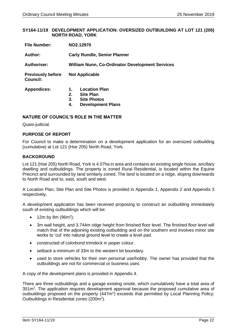## <span id="page-21-0"></span>**SY164-11/19 DEVELOPMENT APPLICATION: OVERSIZED OUTBUILDING AT LOT 121 (205) NORTH ROAD, YORK**

| <b>File Number:</b>                         | NO2.12970                                                                                                          |  |  |
|---------------------------------------------|--------------------------------------------------------------------------------------------------------------------|--|--|
| Author:                                     | <b>Carly Rundle, Senior Planner</b>                                                                                |  |  |
| <b>Authoriser:</b>                          | <b>William Nunn, Co-Ordinator Development Services</b>                                                             |  |  |
| <b>Previously before</b><br><b>Council:</b> | <b>Not Applicable</b>                                                                                              |  |  |
| <b>Appendices:</b>                          | <b>Location Plan</b><br>1.<br><b>Site Plan</b><br>2.<br>3.<br><b>Site Photos</b><br><b>Development Plans</b><br>4. |  |  |

## **NATURE OF COUNCIL'S ROLE IN THE MATTER**

Quasi-judicial.

## **PURPOSE OF REPORT**

For Council to make a determination on a development application for an oversized outbuilding (cumulative) at Lot 121 (Hse 205) North Road, York.

## **BACKGROUND**

Lot 121 (Hse 205) North Road, York is 4.07ha in area and contains an existing single house, ancillary dwelling and outbuildings. The property is zoned Rural Residential, is located within the Equine Precinct and surrounded by land similarly zoned. The land is located on a ridge, sloping downwards to North Road and to, east, south and west.

A Location Plan, Site Plan and Site Photos is provided in Appendix 1, Appendix 2 and Appendix 3 respectively**.**

A development application has been received proposing to construct an outbuilding immediately south of existing outbuildings which will be:

- 12m by 8m  $(96m^2)$ ;
- 3m wall height, and 3.744m ridge height from finished floor level. The finished floor level will match that of the adjoining existing outbuilding and on the southern end involves minor site works to 'cut' into natural ground level to create a level pad.
- constructed of colorbond trimdeck in jasper colour.
- setback a minimum of 33m to the western lot boundary.
- used to store vehicles for their own personal use/hobby. The owner has provided that the outbuildings are not for commercial or business uses.

A copy of the development plans is provided in Appendix 4.

There are three outbuildings and a garage existing onsite, which cumulatively have a total area of 351m<sup>2</sup>. The application requires development approval because the proposed cumulative area of outbuildings proposed on the property (447m<sup>2</sup>) exceeds that permitted by Local Planning Policy: Outbuildings in Residential zones (200m<sup>2</sup>).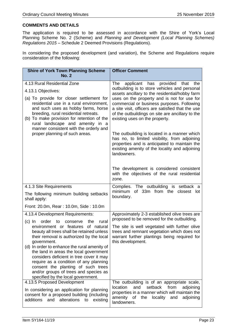## **COMMENTS AND DETAILS**

The application is required to be assessed in accordance with the Shire of York's Local Planning Scheme No. 2 (Scheme) and *Planning and Development (Local Planning Schemes) Regulations 2015* – Schedule 2 Deemed Provisions (Regulations).

In considering the proposed development (and variation), the Scheme and Regulations require consideration of the following:

| <b>Shire of York Town Planning Scheme</b><br><b>No. 2</b>                                                                                                                                                                                                                                                                                                                                                                                                                                                                                                                 | <b>Officer Comment</b>                                                                                                                                                                                                                                                                                                                                                                                                                                                                                                                                                                                     |
|---------------------------------------------------------------------------------------------------------------------------------------------------------------------------------------------------------------------------------------------------------------------------------------------------------------------------------------------------------------------------------------------------------------------------------------------------------------------------------------------------------------------------------------------------------------------------|------------------------------------------------------------------------------------------------------------------------------------------------------------------------------------------------------------------------------------------------------------------------------------------------------------------------------------------------------------------------------------------------------------------------------------------------------------------------------------------------------------------------------------------------------------------------------------------------------------|
| 4.13 Rural Residential Zone<br>4.13.1 Objectives:<br>(a) To provide for closer settlement for<br>residential use in a rural environment,<br>and such uses as hobby farms, horse<br>breeding, rural residential retreats.<br>(b) To make provision for retention of the<br>rural landscape and amenity in a<br>manner consistent with the orderly and<br>proper planning of such areas.                                                                                                                                                                                    | The<br>applicant has provided<br>that<br>the<br>outbuilding is to store vehicles and personal<br>assets ancillary to the residential/hobby farm<br>uses on the property and is not for use for<br>commercial or business purposes. Following<br>a site visit, officers are satisfied that the use<br>of the outbuildings on site are ancillary to the<br>existing uses on the property.<br>The outbuilding is located in a manner which<br>has no, to limited visibility, from adjoining<br>properties and is anticipated to maintain the<br>existing amenity of the locality and adjoining<br>landowners. |
|                                                                                                                                                                                                                                                                                                                                                                                                                                                                                                                                                                           | The development is considered consistent<br>with the objectives of the rural residential<br>zone.                                                                                                                                                                                                                                                                                                                                                                                                                                                                                                          |
| 4.1.3 Site Requirements<br>The following minimum building setbacks<br>shall apply:<br>Front: 20.0m, Rear: 10.0m, Side: 10.0m                                                                                                                                                                                                                                                                                                                                                                                                                                              | Complies. The outbuilding is setback a<br>minimum<br>of 33m from the<br>closest lot<br>boundary.                                                                                                                                                                                                                                                                                                                                                                                                                                                                                                           |
| 4.13.4 Development Requirements:<br>$(c)$ In<br>the<br>order<br>conserve<br>rural<br>to<br>environment or features of natural<br>beauty all trees shall be retained unless<br>their removal is authorized by the local<br>government.<br>(d) In order to enhance the rural amenity of<br>the land in areas the local government<br>considers deficient in tree cover it may<br>require as a condition of any planning<br>consent the planting of such trees<br>and/or groups of trees and species as<br>specified by the local government.<br>4.13.5 Proposed Development | Approximately 2-3 established olive trees are<br>proposed to be removed for the outbuilding.<br>The site is well vegetated with further olive<br>trees and remnant vegetation which does not<br>warrant further plantings being required for<br>this development.<br>The outbuilding is of an appropriate scale,                                                                                                                                                                                                                                                                                           |
| In considering an application for planning<br>consent for a proposed building (including<br>additions<br>alterations<br>existing<br>and<br>to                                                                                                                                                                                                                                                                                                                                                                                                                             | location<br>and<br>from<br>setback<br>adjoining<br>properties in a manner which will maintain the<br>amenity<br>of<br>the<br>locality<br>and<br>adjoining<br>landowners.                                                                                                                                                                                                                                                                                                                                                                                                                                   |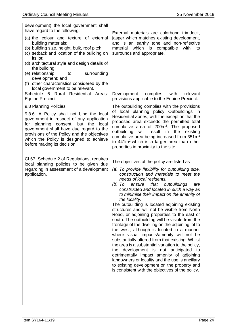| development) the local government shall<br>have regard to the following:                                                                                                                                                                                                                                                    |                                                                                                                                                                                                                                                                                                                                                                                                                                                                                                                                                                                                                                                                                                                                                                                                                                                                                                                                                                                                                                                    |
|-----------------------------------------------------------------------------------------------------------------------------------------------------------------------------------------------------------------------------------------------------------------------------------------------------------------------------|----------------------------------------------------------------------------------------------------------------------------------------------------------------------------------------------------------------------------------------------------------------------------------------------------------------------------------------------------------------------------------------------------------------------------------------------------------------------------------------------------------------------------------------------------------------------------------------------------------------------------------------------------------------------------------------------------------------------------------------------------------------------------------------------------------------------------------------------------------------------------------------------------------------------------------------------------------------------------------------------------------------------------------------------------|
| (a) the colour and texture of external<br>building materials;<br>(b) building size, height, bulk, roof pitch;<br>(c) setback and location of the building on<br>its lot;                                                                                                                                                    | External materials are colorbond trimdeck,<br>jasper which matches existing development,<br>and is an earthy tone and non-reflective<br>material which is compatible<br>with<br>its<br>surrounds and appropriate.                                                                                                                                                                                                                                                                                                                                                                                                                                                                                                                                                                                                                                                                                                                                                                                                                                  |
| (d) architectural style and design details of<br>the building;                                                                                                                                                                                                                                                              |                                                                                                                                                                                                                                                                                                                                                                                                                                                                                                                                                                                                                                                                                                                                                                                                                                                                                                                                                                                                                                                    |
| (e) relationship<br>to<br>surrounding<br>development; and<br>(f) other characteristics considered by the                                                                                                                                                                                                                    |                                                                                                                                                                                                                                                                                                                                                                                                                                                                                                                                                                                                                                                                                                                                                                                                                                                                                                                                                                                                                                                    |
| local government to be relevant.<br>Schedule 6 Rural Residential<br>Areas:<br><b>Equine Precinct</b>                                                                                                                                                                                                                        | Development<br>complies<br>with<br>relevant<br>provisions applicable to the Equine Precinct.                                                                                                                                                                                                                                                                                                                                                                                                                                                                                                                                                                                                                                                                                                                                                                                                                                                                                                                                                       |
| 9.8 Planning Policies<br>9.8.6. A Policy shall not bind the local<br>government in respect of any application<br>for planning consent, but the<br>local<br>government shall have due regard to the<br>provisions of the Policy and the objectives<br>which the Policy is designed to achieve<br>before making its decision. | The outbuilding complies with the provisions<br>of local planning policy Outbuildings in<br>Residential Zones, with the exception that the<br>proposed area exceeds the permitted total<br>cumulative area of 200m <sup>2</sup> . The proposed<br>the<br>outbuilding<br>will<br>result<br>in<br>existing<br>cumulative area being increased from 351m <sup>2</sup><br>to $441m2$ which is a larger area than other<br>properties in proximity to the site.                                                                                                                                                                                                                                                                                                                                                                                                                                                                                                                                                                                         |
| CI 67, Schedule 2 of Regulations, requires<br>local planning policies to be given due<br>regarding in assessment of a development<br>application.                                                                                                                                                                           | The objectives of the policy are listed as:<br>(a) To provide flexibility for outbuilding size,<br>construction and materials to meet the<br>needs of local residents.<br>that<br>(b) To<br>ensure<br>outbuildings<br>are<br>constructed and located in such a way as<br>to minimise their impact on the amenity of<br>the locality.<br>The outbuilding is located adjoining existing<br>structures and will not be visible from North<br>Road, or adjoining properties to the east or<br>south. The outbuilding will be visible from the<br>frontage of the dwelling on the adjoining lot to<br>the west, although is located in a manner<br>where visual impacts/amenity will not be<br>substantially altered from that existing. Whilst<br>the area is a substantial variation to the policy,<br>development is not anticipated<br>the<br>to<br>detrimentally impact amenity of adjoining<br>landowners or locality and the use is ancillary<br>to existing development on the property and<br>is consistent with the objectives of the policy. |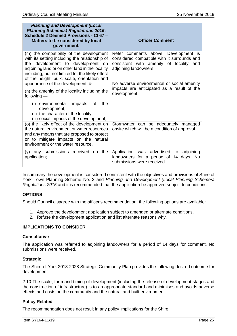| <b>Planning and Development (Local</b><br><b>Planning Schemes) Regulations 2015:</b><br>Schedule 2 Deemed Provisions - CI 67 -<br>Matters to be considered by local<br>government.                                                                                                                                        | <b>Officer Comment</b>                                                                                                                                                                                |
|---------------------------------------------------------------------------------------------------------------------------------------------------------------------------------------------------------------------------------------------------------------------------------------------------------------------------|-------------------------------------------------------------------------------------------------------------------------------------------------------------------------------------------------------|
| (m) the compatibility of the development<br>with its setting including the relationship of<br>the development to development on<br>adjoining land or on other land in the locality<br>including, but not limited to, the likely effect<br>of the height, bulk, scale, orientation and<br>appearance of the development; & | Refer comments above. Development is<br>considered compatible with it surrounds and<br>consistent with amenity of locality and<br>adjoining landowners.<br>No adverse environmental or social amenity |
| (n) the amenity of the locality including the<br>following $-$<br>impacts<br>(i) environmental<br>the<br>οf<br>development;<br>(ii) the character of the locality;                                                                                                                                                        | impacts are anticipated as a result of the<br>development.                                                                                                                                            |
| (iii) social impacts of the development;<br>(o) the likely effect of the development on<br>the natural environment or water resources<br>and any means that are proposed to protect<br>or to mitigate impacts on the natural<br>environment or the water resource.                                                        | Stormwater can be adequately managed<br>onsite which will be a condition of approval.                                                                                                                 |
| any submissions received<br>on the<br>(V)<br>application;                                                                                                                                                                                                                                                                 | Application was advertised to<br>adjoining<br>landowners for a period of 14 days. No<br>submissions were received.                                                                                    |

In summary the development is considered consistent with the objectives and provisions of Shire of York Town Planning Scheme No. 2 and *Planning and Development (Local Planning Schemes) Regulations 2015* and it is recommended that the application be approved subject to conditions.

## **OPTIONS**

Should Council disagree with the officer's recommendation, the following options are available:

- 1. Approve the development application subject to amended or alternate conditions.
- 2. Refuse the development application and list alternate reasons why.

## **IMPLICATIONS TO CONSIDER**

## **Consultative**

The application was referred to adjoining landowners for a period of 14 days for comment. No submissions were received.

## **Strategic**

The Shire of York 2018-2028 Strategic Community Plan provides the following desired outcome for development:

2.10 The scale, form and timing of development (including the release of development stages and the construction of infrastructure) is to an appropriate standard and minimises and avoids adverse effects and costs on the community and the natural and built environment.

## **Policy Related**

The recommendation does not result in any policy implications for the Shire.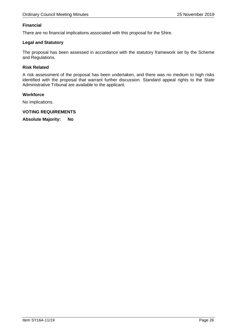## **Financial**

There are no financial implications associated with this proposal for the Shire.

## **Legal and Statutory**

The proposal has been assessed in accordance with the statutory framework set by the Scheme and Regulations.

## **Risk Related**

A risk assessment of the proposal has been undertaken, and there was no medium to high risks identified with the proposal that warrant further discussion. Standard appeal rights to the State Administrative Tribunal are available to the applicant.

## **Workforce**

No implications.

**VOTING REQUIREMENTS**

**Absolute Majority: No**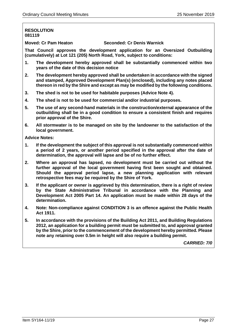## **RESOLUTION 081119**

**Moved: Cr Pam Heaton Seconded: Cr Denis Warnick**

**That Council approves the development application for an Oversized Outbuilding (cumulatively) at Lot 121 (205) North Road, York, subject to conditions:**

- **1. The development hereby approved shall be substantially commenced within two years of the date of this decision notice**
- **2. The development hereby approved shall be undertaken in accordance with the signed and stamped, Approved Development Plan(s) (enclosed), including any notes placed thereon in red by the Shire and except as may be modified by the following conditions.**
- **3. The shed is not to be used for habitable purposes (Advice Note 4).**
- **4. The shed is not to be used for commercial and/or industrial purposes.**
- **5. The use of any second-hand materials in the construction/external appearance of the outbuilding shall be in a good condition to ensure a consistent finish and requires prior approval of the Shire.**
- **6. All stormwater is to be managed on site by the landowner to the satisfaction of the local government.**

**Advice Notes:**

- **1. If the development the subject of this approval is not substantially commenced within a period of 2 years, or another period specified in the approval after the date of determination, the approval will lapse and be of no further effect.**
- **2. Where an approval has lapsed, no development must be carried out without the further approval of the local government having first been sought and obtained. Should the approval period lapse, a new planning application with relevant retrospective fees may be required by the Shire of York.**
- **3. If the applicant or owner is aggrieved by this determination, there is a right of review by the State Administrative Tribunal in accordance with the Planning and Development Act 2005 Part 14. An application must be made within 28 days of the determination.**
- **4. Note: Non-compliance against CONDITION 3 is an offence against the Public Health Act 1911.**
- **5. In accordance with the provisions of the Building Act 2011, and Building Regulations 2012, an application for a building permit must be submitted to, and approval granted by the Shire, prior to the commencement of the development hereby permitted. Please note any retaining over 0.5m in height will also require a building permit.**

*CARRIED: 7/0*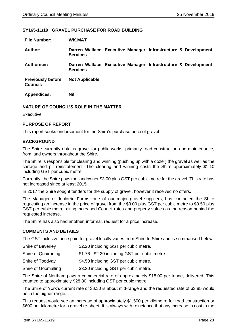## <span id="page-27-0"></span>**SY165-11/19 GRAVEL PURCHASE FOR ROAD BUILDING**

| <b>File Number:</b>                         | <b>WK.MAT</b>                                                                      |
|---------------------------------------------|------------------------------------------------------------------------------------|
| Author:                                     | Darren Wallace, Executive Manager, Infrastructure & Development<br><b>Services</b> |
| <b>Authoriser:</b>                          | Darren Wallace, Executive Manager, Infrastructure & Development<br><b>Services</b> |
| <b>Previously before</b><br><b>Council:</b> | <b>Not Applicable</b>                                                              |
| <b>Appendices:</b>                          | Nil                                                                                |

## **NATURE OF COUNCIL'S ROLE IN THE MATTER**

Executive

## **PURPOSE OF REPORT**

This report seeks endorsement for the Shire's purchase price of gravel.

## **BACKGROUND**

The Shire currently obtains gravel for public works, primarily road construction and maintenance, from land owners throughout the Shire.

The Shire is responsible for clearing and winning (pushing up with a dozer) the gravel as well as the cartage and pit reinstatement. The clearing and winning costs the Shire approximately \$1.10 including GST per cubic metre.

Currently, the Shire pays the landowner \$3.00 plus GST per cubic metre for the gravel. This rate has not increased since at least 2015.

In 2017 the Shire sought tenders for the supply of gravel, however it received no offers.

The Manager of Jonlorrie Farms, one of our major gravel suppliers, has contacted the Shire requesting an increase in the price of gravel from the \$3.00 plus GST per cubic metre to \$3.50 plus GST per cubic metre, citing increased Council rates and property values as the reason behind the requested increase.

The Shire has also had another, informal, request for a price increase.

## **COMMENTS AND DETAILS**

The GST inclusive price paid for gravel locally varies from Shire to Shire and is summarised below;

| Shire of Beverley | \$2.20 including GST per cubic metre. |
|-------------------|---------------------------------------|
|-------------------|---------------------------------------|

Shire of Quairading \$1.76 - \$2.20 including GST per cubic metre.

Shire of Toodyay \$4.50 including GST per cubic metre.

Shire of Goomalling \$3.30 including GST per cubic metre.

The Shire of Northam pays a commercial rate of approximately \$18.00 per tonne, delivered. This equated to approximately \$28.80 including GST per cubic metre.

The Shire of York's current rate of \$3.30 is about mid-range and the requested rate of \$3.85 would be in the higher range.

This request would see an increase of approximately \$1,500 per kilometre for road construction or \$600 per kilometre for a gravel re-sheet. It is always with reluctance that any increase in cost to the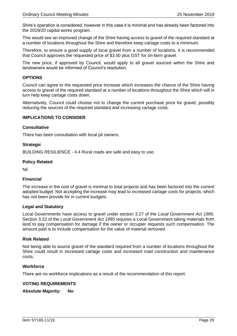Shire's operation is considered, however in this case it is minimal and has already been factored into the 2019/20 capital works program.

This would see an improved change of the Shire having access to gravel of the required standard at a number of locations throughout the Shire and therefore keep cartage costs to a minimum.

Therefore, to ensure a good supply of local gravel from a number of locations, it is recommended that Council approves the requested price of \$3.50 plus GST for on-farm gravel.

The new price, if approved by Council, would apply to all gravel sourced within the Shire and landowners would be informed of Council's resolution.

## **OPTIONS**

Council can agree to the requested price increase which increases the chance of the Shire having access to gravel of the required standard at a number of locations throughout the Shire which will in turn help keep cartage costs down.

Alternatively, Council could choose not to change the current purchase price for gravel, possibly reducing the sources of the required standard and increasing cartage costs.

## **IMPLICATIONS TO CONSIDER**

## **Consultative**

There has been consultation with local pit owners.

## **Strategic**

BUILDING RESILIENCE - 4.4 Rural roads are safe and easy to use.

## **Policy Related**

Nil

## **Financial**

The increase in the cost of gravel is minimal to total projects and has been factored into the current adopted budget. Not accepting the increase may lead to increased cartage costs for projects, which has not been provide for in current budgets.

## **Legal and Statutory**

Local Governments have access to gravel under section 3.27 of the *Local Government Act 1995*. Section 3.22 of the *Local Government Act 1995* requires a Local Government taking materials from land to pay compensation for damage if the owner or occupier requests such compensation. The amount paid is to include compensation for the value of material removed.

## **Risk Related**

Not being able to source gravel of the standard required from a number of locations throughout the Shire could result in increased cartage costs and increased road construction and maintenance costs.

## **Workforce**

There are no workforce implications as a result of the recommendation of this report.

## **VOTING REQUIREMENTS**

**Absolute Majority: No**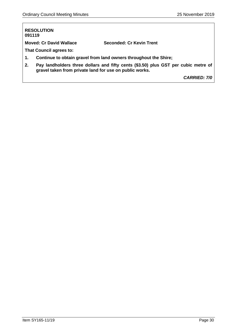## **RESOLUTION 091119**

**Moved: Cr David Wallace Seconded: Cr Kevin Trent**

**That Council agrees to:**

- **1. Continue to obtain gravel from land owners throughout the Shire;**
- **2. Pay landholders three dollars and fifty cents (\$3.50) plus GST per cubic metre of gravel taken from private land for use on public works.**

*CARRIED: 7/0*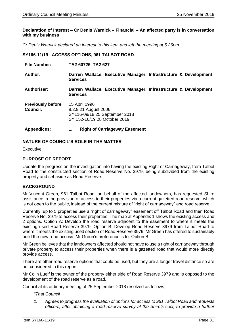## <span id="page-30-0"></span>**Declaration of Interest – Cr Denis Warnick – Financial – An affected party is in conversation with my business**

*Cr Denis Warnick declared an interest to this item and left the meeting at 5.26pm*

## **SY166-11/19 ACCESS OPTIONS, 961 TALBOT ROAD**

| <b>File Number:</b>                         | TA2 60726, TA2 627                                                                                     |
|---------------------------------------------|--------------------------------------------------------------------------------------------------------|
| Author:                                     | Darren Wallace, Executive Manager, Infrastructure & Development<br><b>Services</b>                     |
| <b>Authoriser:</b>                          | Darren Wallace, Executive Manager, Infrastructure & Development<br><b>Services</b>                     |
| <b>Previously before</b><br><b>Council:</b> | 15 April 1996<br>9.2.9 21 August 2006<br>SY116-09/18 25 September 2018<br>SY 152-10/19 28 October 2019 |
| <b>Appendices:</b>                          | <b>Right of Carriageway Easement</b><br>1.                                                             |

## **NATURE OF COUNCIL'S ROLE IN THE MATTER**

**Executive** 

## **PURPOSE OF REPORT**

Update the progress on the investigation into having the existing Right of Carriageway, from Talbot Road to the constructed section of Road Reserve No. 3979, being subdivided from the existing property and set aside as Road Reserve.

## **BACKGROUND**

Mr Vincent Green, 961 Talbot Road, on behalf of the affected landowners, has requested Shire assistance in the provision of access to their properties via a current gazetted road reserve, which is not open to the public, instead of the current mixture of "right of carriageway" and road reserve.

Currently, up to 5 properties use a "right of carriageway" easement off Talbot Road and then Road Reserve No. 3979 to access their properties. The map at Appendix 1 shows the existing access and 2 options. Option A: Develop the road reserve adjacent to the easement to where it meets the existing used Road Reserve 3979. Option B: Develop Road Reserve 3979 from Talbot Road to where it meets the existing used section of Road Reserve 3979. Mr Green has offered to sustainably build the new road access. Mr Green's preference is for Option B.

Mr Green believes that the landowners affected should not have to use a right of carriageway through private property to access their properties when there is a gazetted road that would more directly provide access.

There are other road reserve options that could be used, but they are a longer travel distance so are not considered in this report.

Mr Colin Luelf is the owner of the property either side of Road Reserve 3979 and is opposed to the development of the road reserve as a road.

Council at its ordinary meeting of 25 September 2018 resolved as follows;

## *"That Council*

*1. Agrees to progress the evaluation of options for access to 961 Talbot Road and requests officers, after obtaining a road reserve survey at the Shire's cost, to provide a further*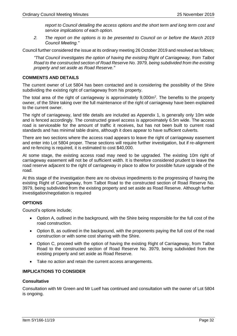*report to Council detailing the access options and the short term and long term cost and service implications of each option.* 

*2. The report on the options is to be presented to Council on or before the March 2019 Council Meeting."*

Council further considered the issue at its ordinary meeting 26 October 2019 and resolved as follows;

*"That Council investigates the option of having the existing Right of Carriageway, from Talbot Road to the constructed section of Road Reserve No. 3979, being subdivided from the existing property and set aside as Road Reserve."*

## **COMMENTS AND DETAILS**

The current owner of Lot 5804 has been contacted and is considering the possibility of the Shire subdividing the existing right of carriageway from his property.

The total area of the right of carriageway is approximately  $9,000m^2$ . The benefits to the property owner, of the Shire taking over the full maintenance of the right of carriageway have been explained to the current owner.

The right of carriageway, land title details are included as Appendix 1, is generally only 10m wide and is fenced accordingly. The constructed gravel access is approximately 6.5m wide. The access road is serviceable for the amount of traffic it receives, but has not been built to current road standards and has minimal table drains, although it does appear to have sufficient culverts.

There are two sections where the access road appears to leave the right of carriageway easement and enter into Lot 5804 proper. These sections will require further investigation, but if re-alignment and re-fencing is required, it is estimated to cost \$40,000.

At some stage, the existing access road may need to be upgraded. The existing 10m right of carriageway easement will not be of sufficient width. It is therefore considered prudent to leave the road reserve adjacent to the right of carriageway in place to allow for possible future upgrade of the road.

At this stage of the investigation there are no obvious impediments to the progressing of having the existing Right of Carriageway, from Talbot Road to the constructed section of Road Reserve No. 3979, being subdivided from the existing property and set aside as Road Reserve. Although further investigation/negotiation is required

## **OPTIONS**

Council's options include;

- Option A, outlined in the background, with the Shire being responsible for the full cost of the road construction.
- Option B, as outlined in the background, with the proponents paying the full cost of the road construction or with some cost sharing with the Shire.
- Option C, proceed with the option of having the existing Right of Carriageway, from Talbot Road to the constructed section of Road Reserve No. 3979, being subdivided from the existing property and set aside as Road Reserve.
- Take no action and retain the current access arrangements.

## **IMPLICATIONS TO CONSIDER**

## **Consultative**

Consultation with Mr Green and Mr Luelf has continued and consultation with the owner of Lot 5804 is ongoing.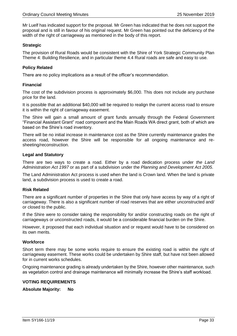Mr Luelf has indicated support for the proposal. Mr Green has indicated that he does not support the proposal and is still in favour of his original request. Mr Green has pointed out the deficiency of the width of the right of carriageway as mentioned in the body of this report.

## **Strategic**

The provision of Rural Roads would be consistent with the Shire of York Strategic Community Plan Theme 4: Building Resilience, and in particular theme 4.4 Rural roads are safe and easy to use.

## **Policy Related**

There are no policy implications as a result of the officer's recommendation.

## **Financial**

The cost of the subdivision process is approximately \$6,000. This does not include any purchase price for the land.

It is possible that an additional \$40,000 will be required to realign the current access road to ensure it is within the right of carriageway easement.

The Shire will gain a small amount of grant funds annually through the Federal Government "Financial Assistant Grant" road component and the Main Roads WA direct grant, both of which are based on the Shire's road inventory.

There will be no initial increase in maintenance cost as the Shire currently maintenance grades the access road, however the Shire will be responsible for all ongoing maintenance and resheeting/reconstruction.

## **Legal and Statutory**

There are two ways to create a road. Either by a road dedication process under *the Land Administration Act 1997* or as part of a subdivision under the *Planning and Development Act 2005*.

The Land Administration Act process is used when the land is Crown land. When the land is private land, a subdivision process is used to create a road.

## **Risk Related**

There are a significant number of properties in the Shire that only have access by way of a right of carriageway. There is also a significant number of road reserves that are either unconstructed and/ or closed to the public.

If the Shire were to consider taking the responsibility for and/or constructing roads on the right of carriageways or unconstructed roads, it would be a considerable financial burden on the Shire.

However, it proposed that each individual situation and or request would have to be considered on its own merits.

## **Workforce**

Short term there may be some works require to ensure the existing road is within the right of carriageway easement. These works could be undertaken by Shire staff, but have not been allowed for in current works schedules.

Ongoing maintenance grading is already undertaken by the Shire, however other maintenance, such as vegetation control and drainage maintenance will minimally increase the Shire's staff workload.

## **VOTING REQUIREMENTS**

**Absolute Majority: No**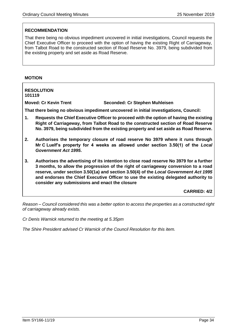## **RECOMMENDATION**

That there being no obvious impediment uncovered in initial investigations, Council requests the Chief Executive Officer to proceed with the option of having the existing Right of Carriageway, from Talbot Road to the constructed section of Road Reserve No. 3979, being subdivided from the existing property and set aside as Road Reserve.

## **MOTION**

**RESOLUTION 101119 Moved: Cr Kevin Trent Seconded: Cr Stephen Muhleisen That there being no obvious impediment uncovered in initial investigations, Council: 1. Requests the Chief Executive Officer to proceed with the option of having the existing Right of Carriageway, from Talbot Road to the constructed section of Road Reserve No. 3979, being subdivided from the existing property and set aside as Road Reserve. 2. Authorises the temporary closure of road reserve No 3979 where it runs through Mr C Luelf's property for 4 weeks as allowed under section 3.50(1) of the** *Local Government Act 1995***. 3. Authorises the advertising of its intention to close road reserve No 3979 for a further 3 months, to allow the progression of the right of carriageway conversion to a road reserve, under section 3.50(1a) and section 3.50(4) of the** *Local Government Act 1995* **and endorses the Chief Executive Officer to use the existing delegated authority to consider any submissions and enact the closure CARRIED: 4/2**

*Reason – Council considered this was a better option to access the properties as a constructed right of carriageway already exists.*

*Cr Denis Warnick returned to the meeting at 5.35pm*

*The Shire President advised Cr Warnick of the Council Resolution for this item.*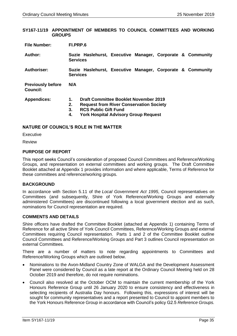## <span id="page-34-0"></span>**SY167-11/19 APPOINTMENT OF MEMBERS TO COUNCIL COMMITTEES AND WORKING GROUPS**

| Author: |                 |  |  | Suzie Haslehurst, Executive Manager, Corporate & Community |
|---------|-----------------|--|--|------------------------------------------------------------|
|         | <b>Services</b> |  |  |                                                            |

**Authoriser: Suzie Haslehurst, Executive Manager, Corporate & Community Services**

**Previously before Council: N/A** 

| <b>Appendices:</b> |  | <b>Draft Committee Booklet November 2019</b> |
|--------------------|--|----------------------------------------------|
|--------------------|--|----------------------------------------------|

- **2. Request from River Conservation Society** 
	- **3. RCS Public Gift Fund**
	- **4. York Hospital Advisory Group Request**

## **NATURE OF COUNCIL'S ROLE IN THE MATTER**

**Executive** 

Review

## **PURPOSE OF REPORT**

This report seeks Council's consideration of proposed Council Committees and Reference/Working Groups, and representation on external committees and working groups. The Draft Committee Booklet attached at Appendix 1 provides information and where applicable, Terms of Reference for these committees and reference/working groups.

## **BACKGROUND**

In accordance with Section 5.11 of the *Local Government Act 1995*, Council representatives on Committees (and subsequently, Shire of York Reference/Working Groups and externally administered Committees) are discontinued following a local government election and as such, nominations for Council representation are required.

## **COMMENTS AND DETAILS**

Shire officers have drafted the Committee Booklet (attached at Appendix 1) containing Terms of Reference for all active Shire of York Council Committees, Reference/Working Groups and external Committees requiring Council representation. Parts 1 and 2 of the Committee Booklet outline Council Committees and Reference/Working Groups and Part 3 outlines Council representation on external Committees.

There are a number of matters to note regarding appointments to Committees and Reference/Working Groups which are outlined below.

- Nominations to the Avon-Midland Country Zone of WALGA and the Development Assessment Panel were considered by Council as a late report at the Ordinary Council Meeting held on 28 October 2019 and therefore, do not require nominations.
- Council also resolved at the October OCM to maintain the current membership of the York Honours Reference Group until 26 January 2020 to ensure consistency and effectiveness in selecting recipients of Australia Day honours. Following this, expressions of interest will be sought for community representatives and a report presented to Council to appoint members to the York Honours Reference Group in accordance with Council's policy G2.5 *Reference Groups.*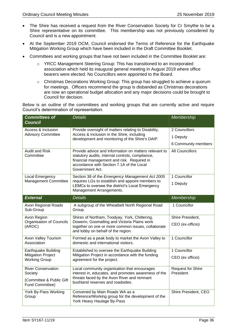- The Shire has received a request from the River Conservation Society for Cr Smythe to be a Shire representative on its committee. This membership was not previously considered by Council and is a new appointment.
- At the September 2019 OCM, Council endorsed the Terms of Reference for the Earthquake Mitigation Working Group which have been included in the Draft Committee Booklet.
- Committees and working groups that have not been included in the Committee Booklet are:
	- o YRCC Management Steering Group: This has transitioned to an incorporated association which held its inaugural general meeting in August 2019 where office bearers were elected. No Councillors were appointed to the Board.
	- o Christmas Decorations Working Group: This group has struggled to achieve a quorum for meetings. Officers recommend the group is disbanded as Christmas decorations are now an operational budget allocation and any major decisions could be brought to Council for decision.

Below is an outline of the committees and working groups that are currently active and require Council's determination of representation.

| <b>Committees of</b><br><b>Council</b>            | <b>Details</b>                                                                                                                                                                                                          | Membership                     |
|---------------------------------------------------|-------------------------------------------------------------------------------------------------------------------------------------------------------------------------------------------------------------------------|--------------------------------|
| Access & Inclusion<br><b>Advisory Committee</b>   | Provide oversight of matters relating to Disability,                                                                                                                                                                    | 2 Councillors                  |
|                                                   | Access & Inclusion in the Shire, including<br>development and monitoring of the Shire's DAIP.                                                                                                                           | 1 Deputy                       |
|                                                   |                                                                                                                                                                                                                         | 6 Community members            |
| <b>Audit and Risk</b><br>Committee                | Provide advice and information on matters relevant to<br>statutory audits, internal controls, compliance,<br>financial management and risk. Required in<br>accordance with Section 7.1A of the Local<br>Government Act. | <b>All Councillors</b>         |
| Local Emergency                                   | Section 38 of the Emergency Management Act 2005                                                                                                                                                                         | 1 Councillor                   |
| Management Committee                              | requires LGs to establish and appoint members to<br>LEMCs to oversee the district's Local Emergency<br>Management Arrangements.                                                                                         | 1 Deputy                       |
| <b>External</b>                                   | <b>Details</b>                                                                                                                                                                                                          | Membership                     |
| Avon Regional Roads<br>Sub-Group                  | A subgroup of the Wheatbelt North Regional Road<br>Group.                                                                                                                                                               | 1 Councillor                   |
| Avon Region                                       | Shires of Northam, Toodyay, York, Chittering,                                                                                                                                                                           | Shire President,               |
| <b>Organisation of Councils</b><br>(AROC)         | Dowerin, Goomalling and Victoria Plains work<br>together on one or more common issues, collaborate<br>and lobby on behalf of the region.                                                                                | CEO (ex-officio)               |
| Avon Valley Tourism<br>Association                | Formed as a peak body to market the Avon Valley to<br>domestic and international visitors.                                                                                                                              | 1 Councillor                   |
| <b>Earthquake Building</b>                        | Established to oversee the Earthquake Building                                                                                                                                                                          | 1 Councillor                   |
| <b>Mitigation Project</b><br><b>Working Group</b> | Mitigation Project in accordance with the funding<br>agreement for the project.                                                                                                                                         | CEO (ex officio)               |
| <b>River Conservation</b><br>Society              | Local community organisation that encourages<br>interest in, educates, and promotes awareness of the                                                                                                                    | Request for Shire<br>President |
| (Committee & Public Gift<br>Fund Committee)       | threats faced by the Avon River and remnant<br>bushland reserves and roadsides.                                                                                                                                         |                                |
| York By-Pass Working<br>Group                     | Convened by Main Roads WA as a<br>Reference/Working group for the development of the<br>York Heavy Haulage By-Pass                                                                                                      | Shire President, CEO           |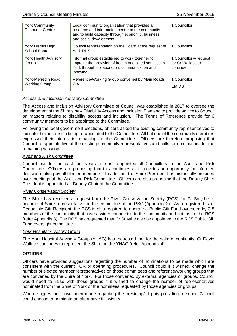| <b>York Community</b><br><b>Resource Centre</b> | Local community organisation that provides a<br>resource and information centre to the community<br>and to build capacity through economic, business<br>and social development. | 1 Councillor                                            |
|-------------------------------------------------|---------------------------------------------------------------------------------------------------------------------------------------------------------------------------------|---------------------------------------------------------|
| York District High<br>School Board              | Council representation on the Board at the request of<br>York DHS.                                                                                                              | 1 Councillor                                            |
| York Health Advisory<br>Group                   | Informal group established to work together to<br>improve the provision of health and allied services in<br>York through collaboration, communication and<br>lobbying.          | 1 Councillor - request<br>for Cr Wallace to<br>continue |
| York-Merredin Road<br><b>Working Group</b>      | Reference/Working Group convened by Main Roads<br>WA.                                                                                                                           | 1 Councillor<br><b>EMIDS</b>                            |

# *Access and Inclusion Advisory Committee*

The Access and Inclusion Advisory Committee of Council was established in 2017 to oversee the development of the Shire's new Disability Access and Inclusion Plan and to provide advice to Council on matters relating to disability access and inclusion. The Terms of Reference provide for 6 community members to be appointed to the Committee.

Following the local government elections, officers asked the existing community representatives to indicate their interest in being re-appointed to the Committee. All but one of the community members expressed their interest in remaining on the Committee. Officers are therefore proposing that Council re-appoints five of the existing community representatives and calls for nominations for the remaining vacancy.

## *Audit and Risk Committee*

Council has for the past four years at least, appointed all Councillors to the Audit and Risk Committee. Officers are proposing that this continues as it provides an opportunity for informed decision making by all elected members. In addition, the Shire President has historically presided over meetings of the Audit and Risk Committee. Officers are also proposing that the Deputy Shire President is appointed as Deputy Chair of the Committee.

# *River Conservation Society*

The Shire has received a request from the River Conservation Society (RCS) for Cr Smythe to become of Shire representative on the committee of the RSC (Appendix 2). As a registered Tax-Deductible Gift Recipient, the RCS is also required to operate a Public Gift Fund overseen by 3-5 members of the community that have a wider connection to the community and not just to the RCS (refer Appendix 3). The RCS has requested that Cr Smythe also be appointed to the RCS Public Gift Fund oversight committee.

## *York Hospital Advisory Group*

The York Hospital Advisory Group (YHAG) has requested that for the sake of continuity, Cr David Wallace continues to represent the Shire on the YHAG (refer Appendix 4).

# **OPTIONS**

Officers have provided suggestions regarding the number of nominations to be made which are consistent with the current TOR or operating procedures. Council could if it wished, change the number of elected member representatives on those committees and reference/working groups that are convened by the Shire of York. For those convened by external agencies or groups, Council would need to liaise with those groups if it wished to change the number of representatives nominated from the Shire of York or the nominees requested by those agencies or groups.

Where suggestions have been made regarding the presiding/ deputy presiding member, Council could choose to nominate an alternative if it wished.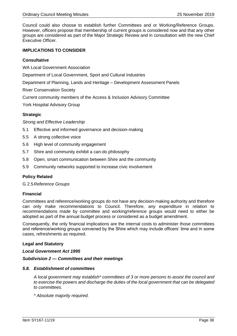Council could also choose to establish further Committees and or Working/Reference Groups. However, officers propose that membership of current groups is considered now and that any other groups are considered as part of the Major Strategic Review and in consultation with the new Chief Executive Officer.

# **IMPLICATIONS TO CONSIDER**

## **Consultative**

WA Local Government Association

Department of Local Government, Sport and Cultural Industries

Department of Planning, Lands and Heritage – Development Assessment Panels

River Conservation Society

Current community members of the Access & Inclusion Advisory Committee

York Hospital Advisory Group

# **Strategic**

*Strong and Effective Leadership*

- 5.1 Effective and informed governance and decision-making
- 5.5 A strong collective voice
- 5.6 High level of community engagement
- 5.7 Shire and community exhibit a can-do philosophy
- 5.8 Open, smart communication between Shire and the community
- 5.9 Community networks supported to increase civic involvement

# **Policy Related**

G 2.5*Reference Groups*

## **Financial**

Committees and reference/working groups do not have any decision-making authority and therefore can only make recommendations to Council. Therefore, any expenditure in relation to recommendations made by committee and working/reference groups would need to either be adopted as part of the annual budget process or considered as a budget amendment.

Consequently, the only financial implications are the internal costs to administer those committees and reference/working groups convened by the Shire which may include officers' time and in some cases, refreshments as required.

## **Legal and Statutory**

## *Local Government Act 1995*

## *Subdivision 2 — Committees and their meetings*

# *5.8. Establishment of committees*

*A local government may establish\* committees of 3 or more persons to assist the council and to exercise the powers and discharge the duties of the local government that can be delegated to committees.*

*\* Absolute majority required.*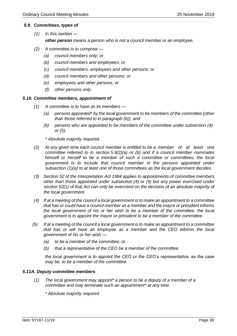## *5.9. Committees, types of*

- *(1) In this section other person means a person who is not a council member or an employee.*
- *(2) A committee is to comprise —*
	- *(a) council members only; or*
	- *(b) council members and employees; or*
	- *(c) council members, employees and other persons; or*
	- *(d) council members and other persons; or*
	- *(e) employees and other persons; or*
	- *(f) other persons only.*

## *5.10. Committee members, appointment of*

- *(1) A committee is to have as its members —*
	- *(a) persons appointed\* by the local government to be members of the committee (other than those referred to in paragraph (b)); and*
	- *(b) persons who are appointed to be members of the committee under subsection (4) or (5).*

*\* Absolute majority required.*

- *(2) At any given time each council member is entitled to be a member of at least one committee referred to in section 5.9(2)(a) or (b) and if a council member nominates himself or herself to be a member of such a committee or committees, the local government is to include that council member in the persons appointed under subsection (1)(a) to at least one of those committees as the local government decides.*
- *(3) Section 52 of the Interpretation Act 1984 applies to appointments of committee members other than those appointed under subsection (4) or (5) but any power exercised under section 52(1) of that Act can only be exercised on the decision of an absolute majority of the local government.*
- *(4) If at a meeting of the council a local government is to make an appointment to a committee that has or could have a council member as a member and the mayor or president informs the local government of his or her wish to be a member of the committee, the local government is to appoint the mayor or president to be a member of the committee.*
- *(5) If at a meeting of the council a local government is to make an appointment to a committee that has or will have an employee as a member and the CEO informs the local government of his or her wish —*
	- *(a) to be a member of the committee; or*
	- *(b) that a representative of the CEO be a member of the committee,*

*the local government is to appoint the CEO or the CEO's representative, as the case may be, to be a member of the committee.*

## *5.11A. Deputy committee members*

*(1) The local government may appoint\* a person to be a deputy of a member of a committee and may terminate such an appointment\* at any time.*

*\* Absolute majority required.*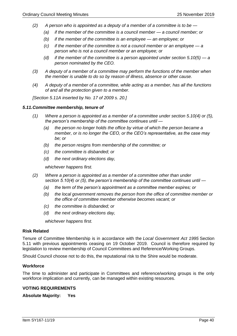- *(2) A person who is appointed as a deputy of a member of a committee is to be —*
	- *(a) if the member of the committee is a council member — a council member; or*
	- *(b) if the member of the committee is an employee — an employee; or*
	- *(c) if the member of the committee is not a council member or an employee — a person who is not a council member or an employee; or*
	- *(d) if the member of the committee is a person appointed under section 5.10(5) — a person nominated by the CEO.*
- *(3) A deputy of a member of a committee may perform the functions of the member when the member is unable to do so by reason of illness, absence or other cause.*
- *(4) A deputy of a member of a committee, while acting as a member, has all the functions of and all the protection given to a member.*

*[Section 5.11A inserted by No. 17 of 2009 s. 20.]*

## *5.11.Committee membership, tenure of*

- *(1) Where a person is appointed as a member of a committee under section 5.10(4) or (5), the person's membership of the committee continues until —*
	- *(a) the person no longer holds the office by virtue of which the person became a member, or is no longer the CEO, or the CEO's representative, as the case may be; or*
	- *(b) the person resigns from membership of the committee; or*
	- *(c) the committee is disbanded; or*
	- *(d) the next ordinary elections day,*

*whichever happens first.*

- *(2) Where a person is appointed as a member of a committee other than under section 5.10(4) or (5), the person's membership of the committee continues until —*
	- *(a) the term of the person's appointment as a committee member expires; or*
	- *(b) the local government removes the person from the office of committee member or the office of committee member otherwise becomes vacant; or*
	- *(c) the committee is disbanded; or*
	- *(d) the next ordinary elections day,*

*whichever happens first.*

## **Risk Related**

Tenure of Committee Membership is in accordance with the *Local Government Act 1995* Section 5.11 with previous appointments ceasing on 19 October 2019. Council is therefore required by legislation to review membership of Council Committees and Reference/Working Groups.

Should Council choose not to do this, the reputational risk to the Shire would be moderate.

## **Workforce**

The time to administer and participate in Committees and reference/working groups is the only workforce implication and currently, can be managed within existing resources.

## **VOTING REQUIREMENTS**

**Absolute Majority: Yes**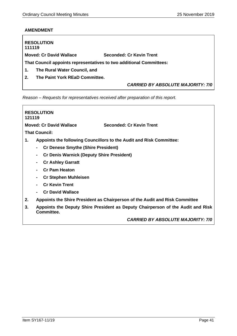# **AMENDMENT**

| 111119         | <b>RESOLUTION</b>              |                                                                     |
|----------------|--------------------------------|---------------------------------------------------------------------|
|                | <b>Moved: Cr David Wallace</b> | <b>Seconded: Cr Kevin Trent</b>                                     |
|                |                                | That Council appoints representatives to two additional Committees: |
| 1.             | The Rural Water Council, and   |                                                                     |
| 2 <sub>1</sub> | The Paint York REaD Committee. |                                                                     |
|                |                                | <b>CARRIED BY ABSOLUTE MAJORITY: 7/0</b>                            |

*Reason – Requests for representatives received after preparation of this report.*

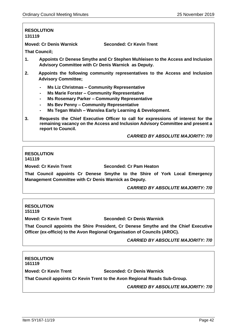**Moved: Cr Denis Warnick Seconded: Cr Kevin Trent**

**That Council;**

- **1. Appoints Cr Denese Smythe and Cr Stephen Muhleisen to the Access and Inclusion Advisory Committee with Cr Denis Warnick as Deputy.**
- **2. Appoints the following community representatives to the Access and Inclusion Advisory Committee;**
	- **- Ms Liz Christmas – Community Representative**
	- **- Ms Marie Forster – Community Representative**
	- **- Ms Rosemary Parker – Community Representative**
	- **- Ms Bev Penny – Community Representative**
	- **- Ms Tegan Walsh – Wanslea Early Learning & Development.**
- **3. Requests the Chief Executive Officer to call for expressions of interest for the remaining vacancy on the Access and Inclusion Advisory Committee and present a report to Council.**

*CARRIED BY ABSOLUTE MAJORITY: 7/0*

## **RESOLUTION 141119**

**Moved: Cr Kevin Trent Seconded: Cr Pam Heaton**

**That Council appoints Cr Denese Smythe to the Shire of York Local Emergency Management Committee with Cr Denis Warnick as Deputy.**

*CARRIED BY ABSOLUTE MAJORITY: 7/0*

## **RESOLUTION 151119**

**Moved: Cr Kevin Trent Seconded: Cr Denis Warnick** 

**That Council appoints the Shire President, Cr Denese Smythe and the Chief Executive Officer (ex-officio) to the Avon Regional Organisation of Councils (AROC).**

# *CARRIED BY ABSOLUTE MAJORITY: 7/0*

# **RESOLUTION 161119 Moved: Cr Kevin Trent Seconded: Cr Denis Warnick That Council appoints Cr Kevin Trent to the Avon Regional Roads Sub-Group.** *CARRIED BY ABSOLUTE MAJORITY: 7/0*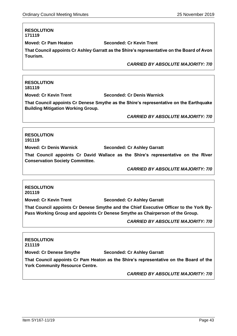**Moved: Cr Pam Heaton Seconded: Cr Kevin Trent** 

**That Council appoints Cr Ashley Garratt as the Shire's representative on the Board of Avon Tourism.**

*CARRIED BY ABSOLUTE MAJORITY: 7/0*

# **RESOLUTION 181119**

**Moved: Cr Kevin Trent Seconded: Cr Denis Warnick** 

**That Council appoints Cr Denese Smythe as the Shire's representative on the Earthquake Building Mitigation Working Group.**

*CARRIED BY ABSOLUTE MAJORITY: 7/0*

**RESOLUTION 191119**

**Moved: Cr Denis Warnick Seconded: Cr Ashley Garratt**

**That Council appoints Cr David Wallace as the Shire's representative on the River Conservation Society Committee.**

*CARRIED BY ABSOLUTE MAJORITY: 7/0*

# **RESOLUTION 201119**

**Moved: Cr Kevin Trent Seconded: Cr Ashley Garratt** 

**That Council appoints Cr Denese Smythe and the Chief Executive Officer to the York By-Pass Working Group and appoints Cr Denese Smythe as Chairperson of the Group.**

*CARRIED BY ABSOLUTE MAJORITY: 7/0*

**RESOLUTION 211119 Moved: Cr Denese Smythe Seconded: Cr Ashley Garratt That Council appoints Cr Pam Heaton as the Shire's representative on the Board of the York Community Resource Centre.** *CARRIED BY ABSOLUTE MAJORITY: 7/0*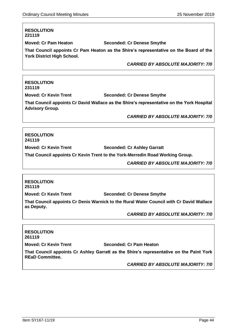**Moved: Cr Pam Heaton Seconded: Cr Denese Smythe** 

**That Council appoints Cr Pam Heaton as the Shire's representative on the Board of the York District High School.**

*CARRIED BY ABSOLUTE MAJORITY: 7/0*

# **RESOLUTION 231119**

**Moved: Cr Kevin Trent Seconded: Cr Denese Smythe** 

**That Council appoints Cr David Wallace as the Shire's representative on the York Hospital Advisory Group.**

*CARRIED BY ABSOLUTE MAJORITY: 7/0*

**RESOLUTION 241119**

**Moved: Cr Kevin Trent Seconded: Cr Ashley Garratt** 

**That Council appoints Cr Kevin Trent to the York-Merredin Road Working Group.**

*CARRIED BY ABSOLUTE MAJORITY: 7/0*

# **RESOLUTION 251119**

**Moved: Cr Kevin Trent Seconded: Cr Denese Smythe**

**That Council appoints Cr Denis Warnick to the Rural Water Council with Cr David Wallace as Deputy.**

*CARRIED BY ABSOLUTE MAJORITY: 7/0*

# **RESOLUTION 261119 Moved: Cr Kevin Trent Seconded: Cr Pam Heaton That Council appoints Cr Ashley Garratt as the Shire's representative on the Paint York REaD Committee.**

*CARRIED BY ABSOLUTE MAJORITY: 7/0*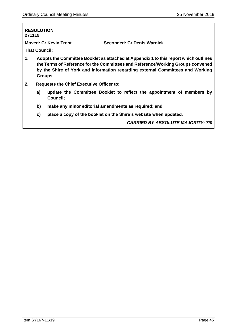# **RESOLUTION 271119 Moved: Cr Kevin Trent Seconded: Cr Denis Warnick That Council: 1. Adopts the Committee Booklet as attached at Appendix 1 to this report which outlines the Terms of Reference for the Committees and Reference/Working Groups convened by the Shire of York and information regarding external Committees and Working Groups. 2. Requests the Chief Executive Officer to; a) update the Committee Booklet to reflect the appointment of members by Council; b) make any minor editorial amendments as required; and c) place a copy of the booklet on the Shire's website when updated.** *CARRIED BY ABSOLUTE MAJORITY: 7/0*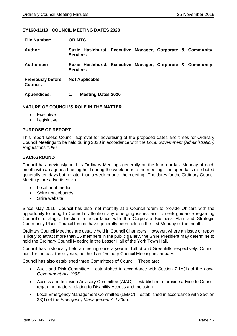## **SY168-11/19 COUNCIL MEETING DATES 2020**

| <b>File Number:</b>                         | <b>OR.MTG</b>                                                                 |  |
|---------------------------------------------|-------------------------------------------------------------------------------|--|
| Author:                                     | Suzie Haslehurst, Executive Manager, Corporate & Community<br><b>Services</b> |  |
| Authoriser:                                 | Suzie Haslehurst, Executive Manager, Corporate & Community<br><b>Services</b> |  |
| <b>Previously before</b><br><b>Council:</b> | <b>Not Applicable</b>                                                         |  |
| <b>Appendices:</b>                          | <b>Meeting Dates 2020</b><br>1.                                               |  |

## **NATURE OF COUNCIL'S ROLE IN THE MATTER**

- Executive
- Legislative

## **PURPOSE OF REPORT**

This report seeks Council approval for advertising of the proposed dates and times for Ordinary Council Meetings to be held during 2020 in accordance with the *Local Government (Administration) Regulations 1996.* 

## **BACKGROUND**

Council has previously held its Ordinary Meetings generally on the fourth or last Monday of each month with an agenda briefing held during the week prior to the meeting. The agenda is distributed generally ten days but no later than a week prior to the meeting. The dates for the Ordinary Council Meetings are advertised via:

- Local print media
- Shire noticeboards
- Shire website

Since May 2016, Council has also met monthly at a Council forum to provide Officers with the opportunity to bring to Council's attention any emerging issues and to seek guidance regarding Council's strategic direction in accordance with the Corporate Business Plan and Strategic Community Plan. Council forums have generally been held on the first Monday of the month.

Ordinary Council Meetings are usually held in Council Chambers. However, where an issue or report is likely to attract more than 16 members in the public gallery, the Shire President may determine to hold the Ordinary Council Meeting in the Lesser Hall of the York Town Hall.

Council has historically held a meeting once a year in Talbot and Greenhills respectively. Council has, for the past three years, not held an Ordinary Council Meeting in January.

Council has also established three Committees of Council. These are:

- Audit and Risk Committee established in accordance with Section 7.1A(1) of the *Local Government Act 1995.*
- Access and Inclusion Advisory Committee (AIAC) established to provide advice to Council regarding matters relating to Disability Access and Inclusion.
- Local Emergency Management Committee (LEMC) established in accordance with Section 38(1) of the *Emergency Management Act 2005.*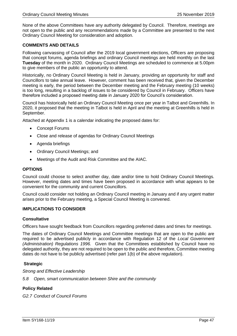None of the above Committees have any authority delegated by Council. Therefore, meetings are not open to the public and any recommendations made by a Committee are presented to the next Ordinary Council Meeting for consideration and adoption.

# **COMMENTS AND DETAILS**

Following canvassing of Council after the 2019 local government elections, Officers are proposing that concept forums, agenda briefings and ordinary Council meetings are held monthly on the last **Tuesday** of the month in 2020. Ordinary Council Meetings are scheduled to commence at 5.00pm to give members of the public an opportunity to attend.

Historically, no Ordinary Council Meeting is held in January, providing an opportunity for staff and Councillors to take annual leave. However, comment has been received that, given the December meeting is early, the period between the December meeting and the February meeting (10 weeks) is too long, resulting in a backlog of issues to be considered by Council in February. Officers have therefore included a proposed meeting date in January 2020 for Council's consideration.

Council has historically held an Ordinary Council Meeting once per year in Talbot and Greenhills. In 2020, it proposed that the meeting in Talbot is held in April and the meeting at Greenhills is held in September.

Attached at Appendix 1 is a calendar indicating the proposed dates for:

- Concept Forums
- Close and release of agendas for Ordinary Council Meetings
- Agenda briefings
- Ordinary Council Meetings; and
- Meetings of the Audit and Risk Committee and the AIAC.

# **OPTIONS**

Council could choose to select another day, date and/or time to hold Ordinary Council Meetings. However, meeting dates and times have been proposed in accordance with what appears to be convenient for the community and current Councillors.

Council could consider not holding an Ordinary Council meeting in January and if any urgent matter arises prior to the February meeting, a Special Council Meeting is convened.

## **IMPLICATIONS TO CONSIDER**

## **Consultative**

Officers have sought feedback from Councillors regarding preferred dates and times for meetings.

The dates of Ordinary Council Meetings and Committee meetings that are open to the public are required to be advertised publicly in accordance with Regulation 12 of the *Local Government (Administration) Regulations 1996.* Given that the Committees established by Council have no delegated authority, they are not required to be open to the public and therefore, Committee meeting dates do not have to be publicly advertised (refer part 1(b) of the above regulation).

# **Strategic**

*Strong and Effective Leadership*

*5.8 Open, smart communication between Shire and the community*

# **Policy Related**

*G2.7 Conduct of Council Forums*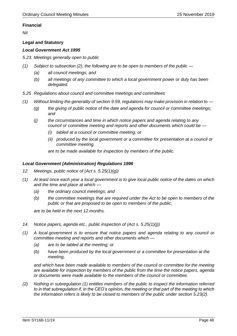# **Financial**

Nil

# **Legal and Statutory**

# *Local Government Act 1995*

*5.23. Meetings generally open to public*

- *(1) Subject to subsection (2), the following are to be open to members of the public —*
	- *(a) all council meetings; and*
	- *(b) all meetings of any committee to which a local government power or duty has been delegated.*
- *5.25 Regulations about council and committee meetings and committees*
- *(1) Without limiting the generality of section 9.59, regulations may make provision in relation to —*
	- *(g) the giving of public notice of the date and agenda for council or committee meetings; and*
	- *(j) the circumstances and time in which notice papers and agenda relating to any council or committee meeting and reports and other documents which could be —*
		- *(i) tabled at a council or committee meeting; or*
		- *(ii) produced by the local government or a committee for presentation at a council or committee meeting,*

*are to be made available for inspection by members of the public.*

# *Local Government (Administration) Regulations 1996*

- *12. Meetings, public notice of (Act s. 5.25(1)(g))*
- *(1) At least once each year a local government is to give local public notice of the dates on which and the time and place at which —*
	- *(a) the ordinary council meetings; and*
	- *(b) the committee meetings that are required under the Act to be open to members of the public or that are proposed to be open to members of the public,*

*are to be held in the next 12 months.*

- *14. Notice papers, agenda etc., public inspection of (Act s. 5.25(1)(j))*
- *(1) A local government is to ensure that notice papers and agenda relating to any council or committee meeting and reports and other documents which —*
	- *(a) are to be tabled at the meeting; or*
	- *(b) have been produced by the local government or a committee for presentation at the meeting,*

*and which have been made available to members of the council or committee for the meeting are available for inspection by members of the public from the time the notice papers, agenda or documents were made available to the members of the council or committee.*

*(2) Nothing in subregulation (1) entitles members of the public to inspect the information referred to in that subregulation if, in the CEO's opinion, the meeting or that part of the meeting to which the information refers is likely to be closed to members of the public under section 5.23(2).*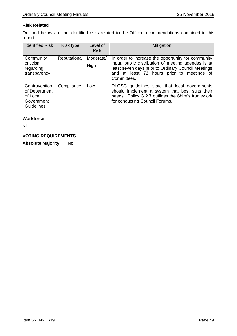# **Risk Related**

Outlined below are the identified risks related to the Officer recommendations contained in this report.

| <b>Identified Risk</b>                                                        | Risk type    | Level of<br><b>Risk</b> | Mitigation                                                                                                                                                                                                                    |
|-------------------------------------------------------------------------------|--------------|-------------------------|-------------------------------------------------------------------------------------------------------------------------------------------------------------------------------------------------------------------------------|
| Community<br>criticism<br>regarding<br>transparency                           | Reputational | Moderate/<br>High       | In order to increase the opportunity for community<br>input, public distribution of meeting agendas is at<br>least seven days prior to Ordinary Council Meetings<br>and at least 72 hours prior to meetings of<br>Committees. |
| Contravention<br>of Department<br>of Local<br>Government<br><b>Guidelines</b> | Compliance   | Low                     | DLGSC guidelines state that local governments<br>should implement a system that best suits their<br>needs. Policy G 2.7 outlines the Shire's framework<br>for conducting Council Forums.                                      |

# **Workforce**

Nil

# **VOTING REQUIREMENTS**

**Absolute Majority: No**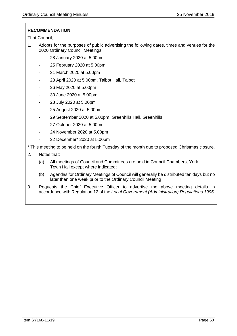# **RECOMMENDATION**

That Council;

- 1. Adopts for the purposes of public advertising the following dates, times and venues for the 2020 Ordinary Council Meetings:
	- 28 January 2020 at 5.00pm
	- 25 February 2020 at 5.00pm
	- 31 March 2020 at 5.00pm
	- 28 April 2020 at 5.00pm, Talbot Hall, Talbot
	- 26 May 2020 at 5.00pm
	- 30 June 2020 at 5.00pm
	- 28 July 2020 at 5.00pm
	- 25 August 2020 at 5.00pm
	- 29 September 2020 at 5.00pm, Greenhills Hall, Greenhills
	- 27 October 2020 at 5.00pm
	- 24 November 2020 at 5.00pm
	- 22 December\* 2020 at 5.00pm

\* This meeting to be held on the fourth Tuesday of the month due to proposed Christmas closure.

- 2. Notes that:
	- (a) All meetings of Council and Committees are held in Council Chambers, York Town Hall except where indicated;
	- (b) Agendas for Ordinary Meetings of Council will generally be distributed ten days but no later than one week prior to the Ordinary Council Meeting
- 3. Requests the Chief Executive Officer to advertise the above meeting details in accordance with Regulation 12 of the *Local Government (Administration) Regulations 1996.*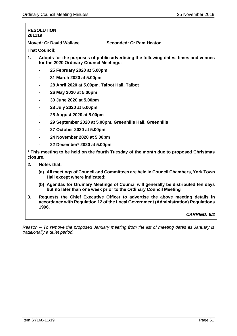**Moved: Cr David Wallace Seconded: Cr Pam Heaton**

**That Council;**

- **1. Adopts for the purposes of public advertising the following dates, times and venues for the 2020 Ordinary Council Meetings:** 
	- **- 25 February 2020 at 5.00pm**
	- **- 31 March 2020 at 5.00pm**
	- **- 28 April 2020 at 5.00pm, Talbot Hall, Talbot**
	- **- 26 May 2020 at 5.00pm**
	- **- 30 June 2020 at 5.00pm**
	- **- 28 July 2020 at 5.00pm**
	- **- 25 August 2020 at 5.00pm**
	- **- 29 September 2020 at 5.00pm, Greenhills Hall, Greenhills**
	- **- 27 October 2020 at 5.00pm**
	- **- 24 November 2020 at 5.00pm**
	- **- 22 December\* 2020 at 5.00pm**

**\* This meeting to be held on the fourth Tuesday of the month due to proposed Christmas closure.**

- **2. Notes that:**
	- **(a) All meetings of Council and Committees are held in Council Chambers, York Town Hall except where indicated;**
	- **(b) Agendas for Ordinary Meetings of Council will generally be distributed ten days but no later than one week prior to the Ordinary Council Meeting**
- **3. Requests the Chief Executive Officer to advertise the above meeting details in accordance with Regulation 12 of the Local Government (Administration) Regulations 1996.**

# *CARRIED: 5/2*

*Reason – To remove the proposed January meeting from the list of meeting dates as January is traditionally a quiet period.*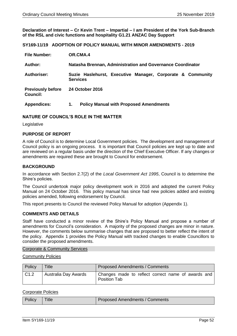**Declaration of Interest – Cr Kevin Trent – Impartial – I am President of the York Sub-Branch of the RSL and civic functions and hospitality G1.21 ANZAC Day Support**

## **SY169-11/19 ADOPTION OF POLICY MANUAL WITH MINOR AMENDMENTS - 2019**

| <b>File Number:</b>                         | OR.CMA.4                                                                      |  |
|---------------------------------------------|-------------------------------------------------------------------------------|--|
| Author:                                     | Natasha Brennan, Administration and Governance Coordinator                    |  |
| <b>Authoriser:</b>                          | Suzie Haslehurst, Executive Manager, Corporate & Community<br><b>Services</b> |  |
| <b>Previously before</b><br><b>Council:</b> | <b>24 October 2016</b>                                                        |  |
| <b>Appendices:</b>                          | <b>Policy Manual with Proposed Amendments</b><br>1.                           |  |

## **NATURE OF COUNCIL'S ROLE IN THE MATTER**

Legislative

## **PURPOSE OF REPORT**

A role of Council is to determine Local Government policies. The development and management of Council policy is an ongoing process. It is important that Council policies are kept up to date and are reviewed on a regular basis under the direction of the Chief Executive Officer. If any changes or amendments are required these are brought to Council for endorsement.

## **BACKGROUND**

In accordance with Section 2.7(2) of the *Local Government Act 1995*, Council is to determine the Shire's policies.

The Council undertook major policy development work in 2016 and adopted the current Policy Manual on 24 October 2016. This policy manual has since had new policies added and existing policies amended, following endorsement by Council.

This report presents to Council the reviewed Policy Manual for adoption (Appendix 1).

## **COMMENTS AND DETAILS**

Staff have conducted a minor review of the Shire's Policy Manual and propose a number of amendments for Council's consideration. A majority of the proposed changes are minor in nature. However, the comments below summarise changes that are proposed to better reflect the intent of the policy. Appendix 1 provides the Policy Manual with tracked changes to enable Councillors to consider the proposed amendments.

## Corporate & Community Services

Community Policies

| Policy | Title                | Proposed Amendments / Comments                                            |
|--------|----------------------|---------------------------------------------------------------------------|
| C1.2   | Australia Day Awards | Changes made to reflect correct name of awards and<br><b>Position Tab</b> |

## Corporate Policies

| Policy | <b>Title</b> | <b>Proposed Amendments / Comments</b> |
|--------|--------------|---------------------------------------|
|--------|--------------|---------------------------------------|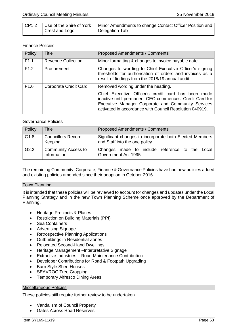|                | CP1.2   Use of the Shire of York   Minor Amendments to change Contact Officer Position and |
|----------------|--------------------------------------------------------------------------------------------|
| Crest and Logo | Delegation Tab                                                                             |

# Finance Policies

| Policy           | <b>Title</b>              | <b>Proposed Amendments / Comments</b>                                                                                                                                                                                                                                 |
|------------------|---------------------------|-----------------------------------------------------------------------------------------------------------------------------------------------------------------------------------------------------------------------------------------------------------------------|
| F1.1             | <b>Revenue Collection</b> | Minor formatting & changes to invoice payable date                                                                                                                                                                                                                    |
| F1.2             | Procurement               | Changes to wording to Chief Executive Officer's signing<br>thresholds for authorisation of orders and invoices as a<br>result of findings from the 2018/19 annual audit.                                                                                              |
| F <sub>1.6</sub> | Corporate Credit Card     | Removed wording under the heading.<br>Chief Executive Officer's credit card has been made<br>inactive until permanent CEO commences. Credit Card for<br>Executive Manager Corporate and Community Services<br>activated in accordance with Council Resolution 040919. |

# Governance Policies

| Policy           | Title                                     | <b>Proposed Amendments / Comments</b>                                                     |
|------------------|-------------------------------------------|-------------------------------------------------------------------------------------------|
| G <sub>1.8</sub> | <b>Councillors Record</b><br>Keeping      | Significant changes to incorporate both Elected Members<br>and Staff into the one policy. |
| G <sub>2.2</sub> | <b>Community Access to</b><br>Information | Changes made to include reference to the Local<br>Government Act 1995                     |

The remaining Community, Corporate, Finance & Governance Policies have had new policies added and existing policies amended since their adoption in October 2016.

## Town Planning

It is intended that these policies will be reviewed to account for changes and updates under the Local Planning Strategy and in the new Town Planning Scheme once approved by the Department of Planning.

- Heritage Precincts & Places
- Restriction on Building Materials (PPI)
- Sea Containers
- Advertising Signage
- Retrospective Planning Applications
- Outbuildings in Residential Zones
- Relocated Second-Hand Dwellings
- Heritage Management –Interpretative Signage
- Extractive Industries Road Maintenance Contribution
- Developer Contributions for Road & Footpath Upgrading
- Barn Style Shed Houses
- SEAVROC Tree Cropping
- Temporary Alfresco Dining Areas

## Miscellaneous Policies

These policies still require further review to be undertaken.

- Vandalism of Council Property
- Gates Across Road Reserves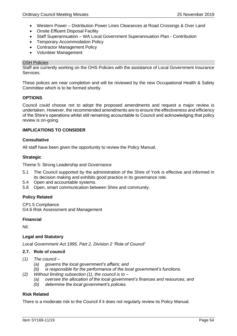- Western Power Distribution Power Lines Clearances at Road Crossings & Over Land
- Onsite Effluent Disposal Facility
- Staff Superannuation WA Local Government Superannuation Plan Contribution
- Temporary Accommodation Policy
- Contractor Management Policy
- Volunteer Management

## OSH Policies

Staff are currently working on the OHS Policies with the assistance of Local Government Insurance **Services** 

These polices are near completion and will be reviewed by the new Occupational Health & Safety Committee which is to be formed shortly.

## **OPTIONS**

Council could choose not to adopt the proposed amendments and request a major review is undertaken. However, the recommended amendments are to ensure the effectiveness and efficiency of the Shire's operations whilst still remaining accountable to Council and acknowledging that policy review is on-going.

## **IMPLICATIONS TO CONSIDER**

## **Consultative**

All staff have been given the opportunity to review the Policy Manual.

## **Strategic**

Theme 5: Strong Leadership and Governance

- 5.1 The Council supported by the administration of the Shire of York is effective and informed in its decision making and exhibits good practice in its governance role.
- 5.4 Open and accountable systems.
- 5.8 Open, smart communication between Shire and community.

# **Policy Related**

CP1.5 Compliance G4.6 Risk Assessment and Management

## **Financial**

Nil.

# **Legal and Statutory**

*Local Government Act 1995, Part 2, Division 2 'Role of Council'*

# **2.7. Role of council**

- *(1) The council –*
	- *(a) governs the local government's affairs; and*
	- *(b) is responsible for the performance of the local government's functions.*
- *(2) Without limiting subsection (1), the council is to –*
	- *(a) oversee the allocation of the local government's finances and resources; and*
	- *(b) determine the local government's policies.*

# **Risk Related**

There is a moderate risk to the Council if it does not regularly review its Policy Manual.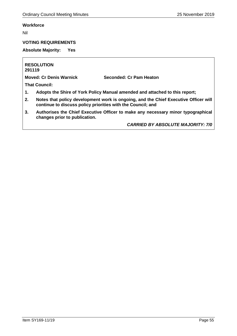# **Workforce**

Nil

# **VOTING REQUIREMENTS**

**Absolute Majority: Yes**

**RESOLUTION 291119**

**Moved: Cr Denis Warnick Seconded: Cr Pam Heaton**

**That Council:**

- **1. Adopts the Shire of York Policy Manual amended and attached to this report;**
- **2. Notes that policy development work is ongoing, and the Chief Executive Officer will continue to discuss policy priorities with the Council; and**
- **3. Authorises the Chief Executive Officer to make any necessary minor typographical changes prior to publication.**

*CARRIED BY ABSOLUTE MAJORITY: 7/0*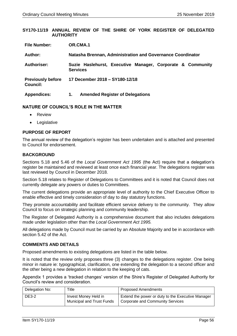## **SY170-11/19 ANNUAL REVIEW OF THE SHIRE OF YORK REGISTER OF DELEGATED AUTHORITY**

| <b>File Number:</b>                         | OR.CMA.1                                                                      |  |
|---------------------------------------------|-------------------------------------------------------------------------------|--|
| Author:                                     | Natasha Brennan, Administration and Governance Coordinator                    |  |
| Authoriser:                                 | Suzie Haslehurst, Executive Manager, Corporate & Community<br><b>Services</b> |  |
| <b>Previously before</b><br><b>Council:</b> | 17 December 2018 - SY180-12/18                                                |  |
| <b>Appendices:</b>                          | <b>Amended Register of Delegations</b><br>1.                                  |  |

## **NATURE OF COUNCIL'S ROLE IN THE MATTER**

- Review
- Legislative

# **PURPOSE OF REPORT**

The annual review of the delegation's register has been undertaken and is attached and presented to Council for endorsement.

## **BACKGROUND**

Sections 5.18 and 5.46 of the *Local Government Act 1995* (the Act) require that a delegation's register be maintained and reviewed at least once each financial year. The delegations register was last reviewed by Council in December 2018.

Section 5.18 relates to Register of Delegations to Committees and it is noted that Council does not currently delegate any powers or duties to Committees.

The current delegations provide an appropriate level of authority to the Chief Executive Officer to enable effective and timely consideration of day to day statutory functions.

They promote accountability and facilitate efficient service delivery to the community. They allow Council to focus on strategic planning and community leadership.

The Register of Delegated Authority is a comprehensive document that also includes delegations made under legislation other than the *Local Government Act 1995.*

All delegations made by Council must be carried by an Absolute Majority and be in accordance with section 5.42 of the Act.

## **COMMENTS AND DETAILS**

Proposed amendments to existing delegations are listed in the table below.

It is noted that the review only proposes three (3) changes to the delegations register. One being minor in nature ie: typographical, clarification, one extending the delegation to a second officer and the other being a new delegation in relation to the keeping of cats.

Appendix 1 provides a 'tracked changes' version of the Shire's Register of Delegated Authority for Council's review and consideration.

| Delegation No: | Title                                                    | <b>Proposed Amendments</b>                                                            |
|----------------|----------------------------------------------------------|---------------------------------------------------------------------------------------|
| <b>DE3-2</b>   | Invest Money Held in<br><b>Municipal and Trust Funds</b> | Extend the power or duty to the Executive Manager<br>Corporate and Community Services |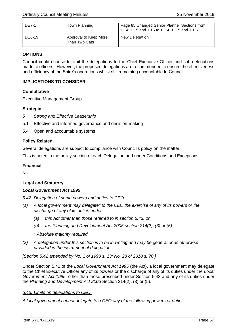| <b>DE7-1</b> | Town Planning                          | Page 85 Changed Senior Planner Sections from<br>1.14, 1.15 and 1.16 to 1.1.4, 1.1.5 and 1.1.6 |
|--------------|----------------------------------------|-----------------------------------------------------------------------------------------------|
| DE6-19       | Approval to Keep More<br>Than Two Cats | New Delegation                                                                                |

# **OPTIONS**

Council could choose to limit the delegations to the Chief Executive Officer and sub-delegations made to officers. However, the proposed delegations are recommended to ensure the effectiveness and efficiency of the Shire's operations whilst still remaining accountable to Council.

# **IMPLICATIONS TO CONSIDER**

# **Consultative**

Executive Management Group

# **Strategic**

- *5 Strong and Effective Leadership*
- 5.1 Effective and informed governance and decision-making
- 5.4 Open and accountable systems

# **Policy Related**

Several delegations are subject to compliance with Council's policy on the matter.

This is noted in the policy section of each Delegation and under Conditions and Exceptions.

# **Financial**

Nil

# **Legal and Statutory**

# *Local Government Act 1995*

# *5.42. Delegation of some powers and duties to CEO*

- *(1) A local government may delegate\* to the CEO the exercise of any of its powers or the discharge of any of its duties under —*
	- *(a) this Act other than those referred to in section 5.43; or*
	- *(b) the Planning and Development Act 2005 section 214(2), (3) or (5).*
	- *\* Absolute majority required.*
- *(2) A delegation under this section is to be in writing and may be general or as otherwise provided in the instrument of delegation.*

*[Section 5.42 amended by No. 1 of 1998 s. 13; No. 28 of 2010 s. 70.]*

Under Section 5.42 of the *Local Government Act 1995* (the Act), a local government may delegate to the Chief Executive Officer any of its powers or the discharge of any of its duties under the *Local Government Act 1995*, other than those prescribed under Section 5.43 and any of its duties under the *Planning and Development Act 2005* Section 214(2), (3) or (5).

# *5.43. Limits on delegations to CEO*

*A local government cannot delegate to a CEO any of the following powers or duties —*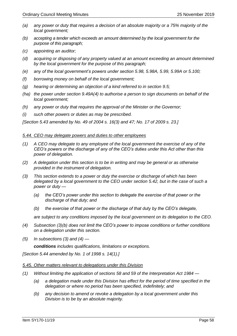- *(a) any power or duty that requires a decision of an absolute majority or a 75% majority of the local government;*
- *(b) accepting a tender which exceeds an amount determined by the local government for the purpose of this paragraph;*
- *(c) appointing an auditor;*
- *(d) acquiring or disposing of any property valued at an amount exceeding an amount determined by the local government for the purpose of this paragraph;*
- *(e) any of the local government's powers under section 5.98, 5.98A, 5.99, 5.99A or 5.100;*
- *(f) borrowing money on behalf of the local government;*
- *(g) hearing or determining an objection of a kind referred to in section 9.5;*
- *(ha) the power under section 9.49A(4) to authorise a person to sign documents on behalf of the local government;*
- *(h) any power or duty that requires the approval of the Minister or the Governor;*
- *(i) such other powers or duties as may be prescribed.*

*[Section 5.43 amended by No. 49 of 2004 s. 16(3) and 47; No. 17 of 2009 s. 23.]*

## *5.44. CEO may delegate powers and duties to other employees*

- *(1) A CEO may delegate to any employee of the local government the exercise of any of the CEO's powers or the discharge of any of the CEO's duties under this Act other than this power of delegation.*
- *(2) A delegation under this section is to be in writing and may be general or as otherwise provided in the instrument of delegation.*
- *(3) This section extends to a power or duty the exercise or discharge of which has been delegated by a local government to the CEO under section 5.42, but in the case of such a power or duty —*
	- *(a) the CEO's power under this section to delegate the exercise of that power or the discharge of that duty; and*
	- *(b) the exercise of that power or the discharge of that duty by the CEO's delegate,*

*are subject to any conditions imposed by the local government on its delegation to the CEO.*

- *(4) Subsection (3)(b) does not limit the CEO's power to impose conditions or further conditions on a delegation under this section.*
- *(5) In subsections (3) and (4) —*

*conditions includes qualifications, limitations or exceptions.*

*[Section 5.44 amended by No. 1 of 1998 s. 14(1).]*

## *5.45. Other matters relevant to delegations under this Division*

- *(1) Without limiting the application of sections 58 and 59 of the Interpretation Act 1984 —*
	- *(a) a delegation made under this Division has effect for the period of time specified in the delegation or where no period has been specified, indefinitely; and*
	- *(b) any decision to amend or revoke a delegation by a local government under this Division is to be by an absolute majority.*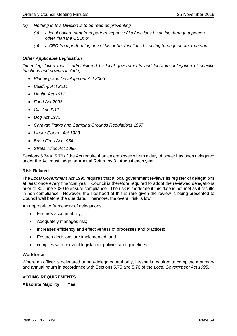- *(2) Nothing in this Division is to be read as preventing —*
	- *(a) a local government from performing any of its functions by acting through a person other than the CEO; or*
	- *(b) a CEO from performing any of his or her functions by acting through another person.*

## *Other Applicable Legislation*

*Other legislation that is administered by local governments and facilitate delegation of specific functions and powers include;*

- *Planning and Development Act 2005*
- *Building Act 2011*
- *Health Act 1911*
- *Food Act 2008*
- *Cat Act 2011*
- *Dog Act 1975*
- *Caravan Parks and Camping Grounds Regulations 1997*
- *Liquor Control Act 1988*
- *Bush Fires Act 1954*
- *Strata Titles Act 1985*

Sections 5.74 to 5.76 of the Act require than an employee whom a duty of power has been delegated under the Act must lodge an Annual Return by 31 August each year.

## **Risk Related**

The *Local Government Act 1995* requires that a local government reviews its register of delegations at least once every financial year. Council is therefore required to adopt the reviewed delegations prior to 30 June 2020 to ensure compliance. The risk is moderate if this date is not met as it results in non-compliance. However, the likelihood of this is rare given the review is being presented to Council well before the due date. Therefore, the overall risk is low.

An appropriate framework of delegations:

- Ensures accountability;
- Adequately manages risk;
- Increases efficiency and effectiveness of processes and practices;
- Ensures decisions are implemented; and
- complies with relevant legislation, policies and guidelines.

## **Workforce**

Where an officer is delegated or sub-delegated authority, he/she is required to complete a primary and annual return in accordance with Sections 5.75 and 5.76 of the *Local Government Act 1995.*

## **VOTING REQUIREMENTS**

**Absolute Majority: Yes**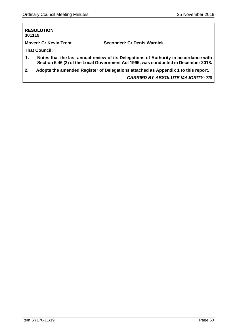| 301119 | <b>RESOLUTION</b>            |                                                                                                                                                                            |
|--------|------------------------------|----------------------------------------------------------------------------------------------------------------------------------------------------------------------------|
|        | <b>Moved: Cr Kevin Trent</b> | Seconded: Cr Denis Warnick                                                                                                                                                 |
|        | <b>That Council:</b>         |                                                                                                                                                                            |
| 1.     |                              | Notes that the last annual review of its Delegations of Authority in accordance with<br>Section 5.46 (2) of the Local Government Act 1995, was conducted in December 2018. |
| 2.     |                              | Adopts the amended Register of Delegations attached as Appendix 1 to this report.                                                                                          |
|        |                              | <b>CARRIED BY ABSOLUTE MAJORITY: 7/0</b>                                                                                                                                   |
|        |                              |                                                                                                                                                                            |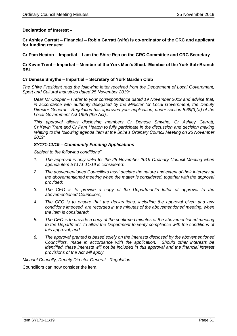## **Declaration of Interest –**

**Cr Ashley Garratt – Financial – Robin Garratt (wife) is co-ordinator of the CRC and applicant for funding request**

**Cr Pam Heaton – Impartial – I am the Shire Rep on the CRC Committee and CRC Secretary**

## **Cr Kevin Trent – Impartial – Member of the York Men's Shed. Member of the York Sub-Branch RSL**

## **Cr Denese Smythe – Impartial – Secretary of York Garden Club**

*The Shire President read the following letter received from the Department of Local Government, Sport and Cultural Industries dated 25 November 2019:*

*Dear Mr Cooper – I refer to your correspondence dated 19 November 2019 and advise that, in accordance with authority delegated by the Minister for Local Government, the Deputy Director General – Regulation has approved your application, under section 5.69(3)(a) of the Local Government Act 1995 (the Act)..*

*This approval allows disclosing members Cr Denese Smythe, Cr Ashley Garratt, Cr Kevin Trent and Cr Pam Heaton to fully participate in the discussion and decision making relating to the following agenda item at the Shire's Ordinary Council Meeting on 25 November 2019:*

## *SY171-11/19 – Community Funding Applications*

*Subject to the following conditions"*

- *1. The approval is only valid for the 25 November 2019 Ordinary Council Meeting when agenda item SY171-11/19 is considered:*
- *2. The abovementioned Councillors must declare the nature and extent of their interests at the abovementioned meeting when the matter is considered, together with the approval provided;*
- *3. The CEO is to provide a copy of the Department's letter of approval to the abovementioned Councillors;*
- *4. The CEO is to ensure that the declarations, including the approval given and any conditions imposed, are recorded in the minutes of the abovementioned meeting, when the item is considered;*
- *5. The CEO is to provide a copy of the confirmed minutes of the abovementioned meeting to the Department, to allow the Department to verify compliance with the conditions of this approval, and*
- *6. The approval granted is based solely on the interests disclosed by the abovementioned Councillors, made in accordance with the application. Should other interests be identified, these interests will not be included in this approval and the financial interest provisions of the Act will apply.*

*Michael Connolly, Deputy Director General - Regulation*

Councillors can now consider the item.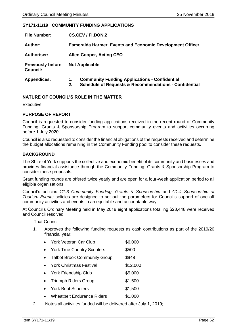# **SY171-11/19 COMMUNITY FUNDING APPLICATIONS**

| <b>File Number:</b>                         | <b>CS.CEV / FI.DON.2</b>                                         |  |
|---------------------------------------------|------------------------------------------------------------------|--|
| Author:                                     | <b>Esmeralda Harmer, Events and Economic Development Officer</b> |  |
| <b>Authoriser:</b>                          | <b>Allen Cooper, Acting CEO</b>                                  |  |
| <b>Previously before</b><br><b>Council:</b> | <b>Not Applicable</b>                                            |  |
| <b>Appendices:</b>                          | <b>Community Funding Applications - Confidential</b><br>1.       |  |

## **2. Schedule of Requests & Recommendations - Confidential**

# **NATURE OF COUNCIL'S ROLE IN THE MATTER**

## Executive

# **PURPOSE OF REPORT**

Council is requested to consider funding applications received in the recent round of Community Funding; Grants & Sponsorship Program to support community events and activities occurring before 1 July 2020.

Council is also requested to consider the financial obligations of the requests received and determine the budget allocations remaining in the Community Funding pool to consider these requests.

# **BACKGROUND**

The Shire of York supports the collective and economic benefit of its community and businesses and provides financial assistance through the Community Funding; Grants & Sponsorship Program to consider these proposals.

Grant funding rounds are offered twice yearly and are open for a four-week application period to all eligible organisations.

Council's policies *C1.3 Community Funding; Grants & Sponsorship* and *C1.4 Sponsorship of Tourism Events* policies are designed to set out the parameters for Council's support of one off community activities and events in an equitable and accountable way.

At Council's Ordinary Meeting held in May 2019 eight applications totalling \$28,448 were received and Council resolved:

That Council:

1. Approves the following funding requests as cash contributions as part of the 2019/20 financial year:

| York Veteran Car Club | \$6,000 |
|-----------------------|---------|
|                       |         |

- York True Country Scooters \$500
- Talbot Brook Community Group \$948
- York Christmas Festival \$12,000
- York Friendship Club \$5,000
- **Friumph Riders Group 51,500**
- **Profit Boot Scooters** \$1,500
- Wheatbelt Endurance Riders \$1,000
- 2. Notes all activities funded will be delivered after July 1, 2019;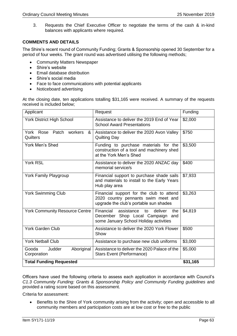3. Requests the Chief Executive Officer to negotiate the terms of the cash & in-kind balances with applicants where required.

# **COMMENTS AND DETAILS**

The Shire's recent round of Community Funding; Grants & Sponsorship opened 30 September for a period of four weeks. The grant round was advertised utilising the following methods;

- Community Matters Newspaper
- Shire's website
- Email database distribution
- Shire's social media
- Face to face communications with potential applicants
- Noticeboard advertising

At the closing date, ten applications totalling \$31,165 were received. A summary of the requests received is included below;

| Applicant                                    | Request                                                                                                                       | Funding  |
|----------------------------------------------|-------------------------------------------------------------------------------------------------------------------------------|----------|
| <b>York District High School</b>             | Assistance to deliver the 2019 End of Year<br><b>School Award Presentations</b>                                               | \$2,000  |
| York Rose Patch workers<br>&<br>Quilters     | Assistance to deliver the 2020 Avon Valley<br><b>Quilting Day</b>                                                             | \$750    |
| <b>York Men's Shed</b>                       | Funding to purchase materials for the<br>construction of a tool and machinery shed<br>at the York Men's Shed                  | \$3,500  |
| York RSL                                     | Assistance to deliver the 2020 ANZAC day<br>memorial service/s                                                                | \$400    |
| <b>York Family Playgroup</b>                 | Financial support to purchase shade sails<br>and materials to install to the Early Years<br>Hub play area                     | \$7,933  |
| <b>York Swimming Club</b>                    | Financial support for the club to attend<br>2020 country pennants swim meet and<br>upgrade the club's portable sun shades     | \$3,263  |
| <b>York Community Resource Centre</b>        | Financial<br>deliver<br>assistance<br>the<br>to<br>December Shop Local Campaign and<br>some January School Holiday activities | \$4,819  |
| <b>York Garden Club</b>                      | Assistance to deliver the 2020 York Flower<br>Show                                                                            | \$500    |
| <b>York Netball Club</b>                     | Assistance to purchase new club uniforms                                                                                      | \$3,000  |
| Gooda<br>Aboriginal<br>Judder<br>Corporation | Assistance to deliver the 2020 Palace of the<br>Stars Event (Performance)                                                     | \$5,000  |
| <b>Total Funding Requested</b>               |                                                                                                                               | \$31,165 |

Officers have used the following criteria to assess each application in accordance with Council's *C1.3 Community Funding: Grants & Sponsorship Policy and Community Funding guidelines* and provided a rating score based on this assessment.

Criteria for assessment:

• Benefits to the Shire of York community arising from the activity; open and accessible to all community members and participation costs are at low cost or free to the public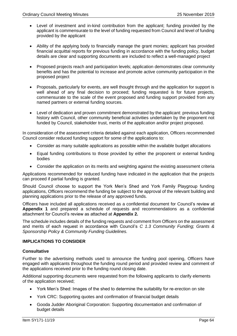- Level of investment and in-kind contribution from the applicant; funding provided by the applicant is commensurate to the level of funding requested from Council and level of funding provided by the applicant
- Ability of the applying body to financially manage the grant monies; applicant has provided financial acquittal reports for previous funding in accordance with the funding policy, budget details are clear and supporting documents are included to reflect a well-managed project
- Proposed projects reach and participation levels; application demonstrates clear community benefits and has the potential to increase and promote active community participation in the proposed project
- Proposals, particularly for events, are well thought through and the application for support is well ahead of any final decision to proceed; funding requested is for future projects, commensurate to the scale of the event proposed and funding support provided from any named partners or external funding sources.
- Level of dedication and proven commitment demonstrated by the applicant: previous funding history with Council, other community beneficial activities undertaken by the proponent not funded by Council, stakeholder trust, merits of the application and/or project proposed.

In consideration of the assessment criteria detailed against each application, Officers recommended Council consider reduced funding support for some of the applications to:

- Consider as many suitable applications as possible within the available budget allocations
- Equal funding contributions to those provided by either the proponent or external funding bodies
- Consider the application on its merits and weighting against the existing assessment criteria

Applications recommended for reduced funding have indicated in the application that the projects can proceed if partial funding is granted.

Should Council choose to support the York Men's Shed and York Family Playgroup funding applications, Officers recommend the funding be subject to the approval of the relevant building and planning applications prior to the release of any approved funds.

Officers have included all applications received as a confidential document for Council's review at **Appendix 1** and prepared a schedule of requests and recommendations as a confidential attachment for Council's review as attached at **Appendix 2.**

The schedule includes details of the funding requests and comment from Officers on the assessment and merits of each request in accordance with Council's *C 1.3 Community Funding; Grants & Sponsorship Policy & Community Funding Guidelines.*

# **IMPLICATIONS TO CONSIDER**

# **Consultative**

Further to the advertising methods used to announce the funding pool opening, Officers have engaged with applicants throughout the funding round period and provided review and comment of the applications received prior to the funding round closing date.

Additional supporting documents were requested from the following applicants to clarify elements of the application received;

- York Men's Shed: Images of the shed to determine the suitability for re-erection on site
- York CRC: Supporting quotes and confirmation of financial budget details
- Gooda Judder Aboriginal Corporation: Supporting documentation and confirmation of budget details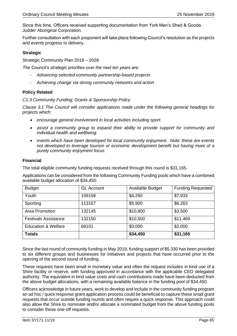Since this time, Officers received supporting documentation from York Men's Shed & Gooda Judder Aboriginal Corporation.

Further consultation with each proponent will take place following Council's resolution as the projects and events progress to delivery.

# **Strategic**

Strategic Community Plan 2018 – 2028

*The Council's strategic priorities over the next ten years are:*

- *Advancing selected community partnership-based projects*
- *Achieving change via strong community networks and action*

# **Policy Related**

*C1.3 Community Funding; Grants & Sponsorship Policy*

*Clause 3.1 The Council will consider applications made under the following general headings for projects which:*

- *encourage general involvement in local activities including sport.*
- *assist a community group to expand their ability to provide support for community and individual health and wellbeing.*
- *events which have been developed for local community enjoyment. Note: these are events not developed to leverage tourism or economic development benefit but having more of a purely community enjoyment focus.*

# **Financial**

The total eligible community funding requests received through this round is \$31,165.

Applications can be considered from the following Community Funding pools which have a combined available budget allocation of \$34,450:

| <b>Budget</b>                  | <b>GL Account</b> | Available Budget | <b>Funding Requested</b> |
|--------------------------------|-------------------|------------------|--------------------------|
| Youth                          | 109158            | \$4,250          | \$7,933                  |
| Sporting                       | 113167            | \$5,900          | \$6,263                  |
| Area Promotion                 | 132145            | \$10,800         | \$3,500                  |
| <b>Festivals Assistance</b>    | 132150            | \$10,500         | \$11,469                 |
| <b>Education &amp; Welfare</b> | 69101             | \$3,000          | \$2,000                  |
| <b>Totals</b>                  |                   | \$34,450         | \$31,165                 |

Since the last round of community funding in May 2019, funding support of \$5,330 has been provided to six different groups and businesses for initiatives and projects that have occurred prior to the opening of the second round of funding.

These requests have been small in monetary value and often the request includes in kind use of a Shire facility or reserve, with funding approved in accordance with the applicable CEO delegated authority. The equivalent in kind value costs and cash contributions made have been deducted from the above budget allocations, with a remaining available balance in the funding pool of \$34,450.

Officers acknowledge in future years, work to develop and include in the community funding program an ad hoc / quick response grant application process could be beneficial to capture these small grant requests that occur outside funding rounds and often require a quick response. This approach could also allow the Shire to nominate and/or allocate a nominated budget from the above funding pools to consider these one-off requests.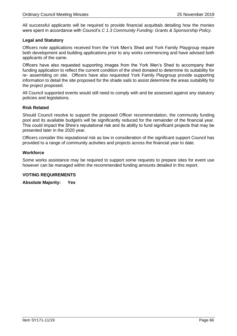All successful applicants will be required to provide financial acquittals detailing how the monies were spent in accordance with Council's *C 1.3 Community Funding: Grants & Sponsorship Policy*.

# **Legal and Statutory**

Officers note applications received from the York Men's Shed and York Family Playgroup require both development and building applications prior to any works commencing and have advised both applicants of the same.

Officers have also requested supporting images from the York Men's Shed to accompany their funding application to reflect the current condition of the shed donated to determine its suitability for re- assembling on site. Officers have also requested York Family Playgroup provide supporting information to detail the site proposed for the shade sails to assist determine the areas suitability for the project proposed.

All Council supported events would still need to comply with and be assessed against any statutory policies and legislations.

# **Risk Related**

Should Council resolve to support the proposed Officer recommendation, the community funding pool and its available budget/s will be significantly reduced for the remainder of the financial year. This could impact the Shire's reputational risk and its ability to fund significant projects that may be presented later in the 2020 year.

Officers consider this reputational risk as low in consideration of the significant support Council has provided to a range of community activities and projects across the financial year to date.

# **Workforce**

Some works assistance may be required to support some requests to prepare sites for event use however can be managed within the recommended funding amounts detailed in this report.

# **VOTING REQUIREMENTS**

**Absolute Majority: Yes**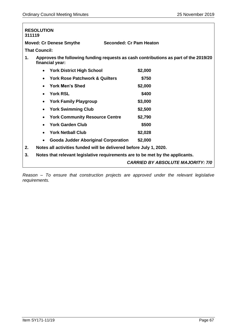| 311119                                                                                                        | <b>RESOLUTION</b>                                                             |                                          |
|---------------------------------------------------------------------------------------------------------------|-------------------------------------------------------------------------------|------------------------------------------|
|                                                                                                               | <b>Moved: Cr Denese Smythe</b>                                                | Seconded: Cr Pam Heaton                  |
|                                                                                                               | <b>That Council:</b>                                                          |                                          |
| Approves the following funding requests as cash contributions as part of the 2019/20<br>1.<br>financial year: |                                                                               |                                          |
|                                                                                                               | <b>York District High School</b>                                              | \$2,000                                  |
|                                                                                                               | <b>York Rose Patchwork &amp; Quilters</b><br>$\bullet$                        | \$750                                    |
|                                                                                                               | York Men's Shed                                                               | \$2,000                                  |
|                                                                                                               | <b>York RSL</b><br>$\bullet$                                                  | \$400                                    |
|                                                                                                               | <b>York Family Playgroup</b><br>$\bullet$                                     | \$3,000                                  |
|                                                                                                               | <b>York Swimming Club</b><br>$\bullet$                                        | \$2,500                                  |
|                                                                                                               | <b>York Community Resource Centre</b><br>$\bullet$                            | \$2,790                                  |
|                                                                                                               | <b>York Garden Club</b><br>$\bullet$                                          | \$500                                    |
|                                                                                                               | <b>York Netball Club</b>                                                      | \$2,028                                  |
|                                                                                                               | <b>Gooda Judder Aboriginal Corporation</b>                                    | \$2,000                                  |
| 2.                                                                                                            | Notes all activities funded will be delivered before July 1, 2020.            |                                          |
| 3.                                                                                                            | Notes that relevant legislative requirements are to be met by the applicants. |                                          |
|                                                                                                               |                                                                               | <b>CARRIED BY ABSOLUTE MAJORITY: 7/0</b> |

*Reason – To ensure that construction projects are approved under the relevant legislative requirements.*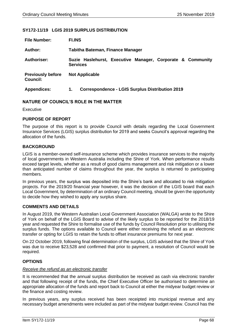# **SY172-11/19 LGIS 2019 SURPLUS DISTRIBUTION**

| <b>File Number:</b>                         | <b>FI.INS</b>                                                                 |  |
|---------------------------------------------|-------------------------------------------------------------------------------|--|
| Author:                                     | Tabitha Bateman, Finance Manager                                              |  |
| <b>Authoriser:</b>                          | Suzie Haslehurst, Executive Manager, Corporate & Community<br><b>Services</b> |  |
| <b>Previously before</b><br><b>Council:</b> | <b>Not Applicable</b>                                                         |  |
| <b>Appendices:</b>                          | <b>Correspondence - LGIS Surplus Distribution 2019</b><br>1.                  |  |

## **NATURE OF COUNCIL'S ROLE IN THE MATTER**

Executive

## **PURPOSE OF REPORT**

The purpose of this report is to provide Council with details regarding the Local Government Insurance Services (LGIS) surplus distribution for 2019 and seeks Council's approval regarding the allocation of the funds.

## **BACKGROUND**

LGIS is a member-owned self-insurance scheme which provides insurance services to the majority of local governments in Western Australia including the Shire of York. When performance results exceed target levels, whether as a result of good claims management and risk mitigation or a lower than anticipated number of claims throughout the year, the surplus is returned to participating members.

In previous years, the surplus was deposited into the Shire's bank and allocated to risk mitigation projects. For the 2019/20 financial year however, it was the decision of the LGIS board that each Local Government, by determination of an ordinary Council meeting, should be given the opportunity to decide how they wished to apply any surplus share.

## **COMMENTS AND DETAILS**

In August 2019, the Western Australian Local Government Association (WALGA) wrote to the Shire of York on behalf of the LGIS Board to advise of the likely surplus to be reported for the 2018/19 year and requested the Shire to formalise use of the funds by Council Resolution prior to utilising the surplus funds. The options available to Council were either receiving the refund as an electronic transfer or opting for LGIS to retain the funds to offset insurance premiums for next year.

On 22 October 2019, following final determination of the surplus, LGIS advised that the Shire of York was due to receive \$23,528 and confirmed that prior to payment, a resolution of Council would be required.

# **OPTIONS**

## *Receive the refund as an electronic transfer*

It is recommended that the annual surplus distribution be received as cash via electronic transfer and that following receipt of the funds, the Chief Executive Officer be authorised to determine an appropriate allocation of the funds and report back to Council at either the midyear budget review or the finance and costing review.

In previous years, any surplus received has been receipted into municipal revenue and any necessary budget amendments were included as part of the midyear budget review. Council has the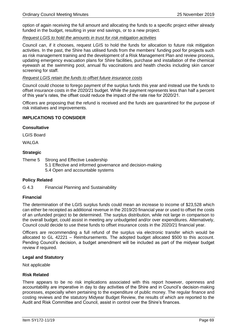option of again receiving the full amount and allocating the funds to a specific project either already funded in the budget, resulting in year end savings, or to a new project.

# *Request LGIS to hold the amounts in trust for risk mitigation activities*

Council can, if it chooses, request LGIS to hold the funds for allocation to future risk mitigation activities. In the past, the Shire has utilised funds from the members' funding pool for projects such as risk management training and the development of a Risk Management Plan and review process, updating emergency evacuation plans for Shire facilities, purchase and installation of the chemical eyewash at the swimming pool, annual flu vaccinations and health checks including skin cancer screening for staff.

## *Request LGIS retain the funds to offset future insurance costs*

Council could choose to forego payment of the surplus funds this year and instead use the funds to offset insurance costs in the 2020/21 budget. While the payment represents less than half a percent of this year's rates, the offset could reduce the impact of the rate rise for 2020/21.

Officers are proposing that the refund is received and the funds are quarantined for the purpose of risk initiatives and improvements.

# **IMPLICATIONS TO CONSIDER**

## **Consultative**

LGIS Board

WALGA

## **Strategic**

Theme 5 Strong and Effective Leadership

5.1 Effective and informed governance and decision-making 5.4 Open and accountable systems

# **Policy Related**

G 4.3 Financial Planning and Sustainability

# **Financial**

The determination of the LGIS surplus funds could mean an increase to income of \$23,528 which can either be receipted as additional revenue in the 2019/20 financial year or used to offset the costs of an unfunded project to be determined. The surplus distribution, while not large in comparison to the overall budget, could assist in meeting any unbudgeted and/or over expenditures. Alternatively, Council could decide to use these funds to offset insurance costs in the 2020/21 financial year.

Officers are recommending a full refund of the surplus via electronic transfer which would be allocated to GL 42221 – Reimbursements. The adopted budget allocated \$500 to this account. Pending Council's decision, a budget amendment will be included as part of the midyear budget review if required.

## **Legal and Statutory**

Not applicable

# **Risk Related**

There appears to be no risk implications associated with this report however, openness and accountability are imperative in day to day activities of the Shire and in Council's decision-making processes, especially when pertaining to the expenditure of public money. The regular finance and costing reviews and the statutory Midyear Budget Review, the results of which are reported to the Audit and Risk Committee and Council, assist in control over the Shire's finances.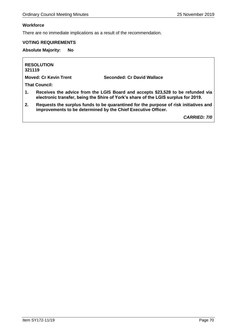# **Workforce**

There are no immediate implications as a result of the recommendation.

# **VOTING REQUIREMENTS**

**Absolute Majority: No**

**RESOLUTION 321119**

**Moved: Cr Kevin Trent Seconded: Cr David Wallace**

**That Council:**

- **1. Receives the advice from the LGIS Board and accepts \$23,528 to be refunded via electronic transfer, being the Shire of York's share of the LGIS surplus for 2019.**
- **2. Requests the surplus funds to be quarantined for the purpose of risk initiatives and improvements to be determined by the Chief Executive Officer.**

*CARRIED: 7/0*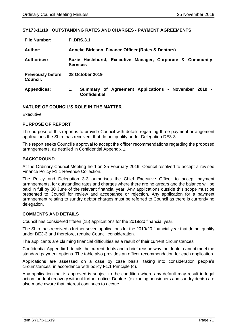## **SY173-11/19 OUTSTANDING RATES AND CHARGES - PAYMENT AGREEMENTS**

| <b>File Number:</b>                         | <b>FI.DRS.3.1</b>                                                                |  |
|---------------------------------------------|----------------------------------------------------------------------------------|--|
| Author:                                     | Anneke Birleson, Finance Officer (Rates & Debtors)                               |  |
| Authoriser:                                 | Suzie Haslehurst, Executive Manager, Corporate & Community<br><b>Services</b>    |  |
| <b>Previously before</b><br><b>Council:</b> | 28 October 2019                                                                  |  |
| <b>Appendices:</b>                          | Summary of Agreement Applications - November 2019 -<br>1.<br><b>Confidential</b> |  |

## **NATURE OF COUNCIL'S ROLE IN THE MATTER**

Executive

# **PURPOSE OF REPORT**

The purpose of this report is to provide Council with details regarding three payment arrangement applications the Shire has received, that do not qualify under Delegation DE3-3.

This report seeks Council's approval to accept the officer recommendations regarding the proposed arrangements, as detailed in Confidential Appendix 1.

## **BACKGROUND**

At the Ordinary Council Meeting held on 25 February 2019, Council resolved to accept a revised Finance Policy F1.1 Revenue Collection.

The Policy and Delegation 3-3 authorises the Chief Executive Officer to accept payment arrangements, for outstanding rates and charges where there are no arrears and the balance will be paid in full by 30 June of the relevant financial year. Any applications outside this scope must be presented to Council for review and acceptance or rejection. Any application for a payment arrangement relating to sundry debtor charges must be referred to Council as there is currently no delegation.

# **COMMENTS AND DETAILS**

Council has considered fifteen (15) applications for the 2019/20 financial year.

The Shire has received a further seven applications for the 2019/20 financial year that do not qualify under DE3-3 and therefore, require Council consideration.

The applicants are claiming financial difficulties as a result of their current circumstances.

Confidential Appendix 1 details the current debts and a brief reason why the debtor cannot meet the standard payment options. The table also provides an officer recommendation for each application.

Applications are assessed on a case by case basis, taking into consideration people's circumstances, in accordance with policy F1.1 Principle (c).

Any application that is approved is subject to the condition where any default may result in legal action for debt recovery without further notice. Debtors (excluding pensioners and sundry debts) are also made aware that interest continues to accrue.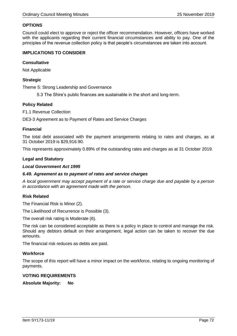# **OPTIONS**

Council could elect to approve or reject the officer recommendation. However, officers have worked with the applicants regarding their current financial circumstances and ability to pay. One of the principles of the revenue collection policy is that people's circumstances are taken into account.

## **IMPLICATIONS TO CONSIDER**

## **Consultative**

Not Applicable

# **Strategic**

Theme 5: Strong Leadership and Governance

5.3 The Shire's public finances are sustainable in the short and long-term.

## **Policy Related**

F1.1 Revenue Collection

DE3-3 Agreement as to Payment of Rates and Service Charges

## **Financial**

The total debt associated with the payment arrangements relating to rates and charges, as at 31 October 2019 is \$29,916.90.

This represents approximately 0.89% of the outstanding rates and charges as at 31 October 2019.

## **Legal and Statutory**

## *Local Government Act 1995*

## *6.49. Agreement as to payment of rates and service charges*

*A local government may accept payment of a rate or service charge due and payable by a person in accordance with an agreement made with the person.*

## **Risk Related**

The Financial Risk is Minor (2).

The Likelihood of Recurrence is Possible (3).

The overall risk rating is Moderate (6).

The risk can be considered acceptable as there is a policy in place to control and manage the risk. Should any debtors default on their arrangement, legal action can be taken to recover the due amounts.

The financial risk reduces as debts are paid.

# **Workforce**

The scope of this report will have a minor impact on the workforce, relating to ongoing monitoring of payments.

## **VOTING REQUIREMENTS**

**Absolute Majority: No**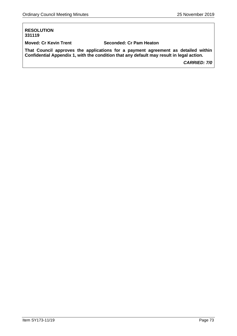## **RESOLUTION 331119**

**Moved: Cr Kevin Trent Seconded: Cr Pam Heaton**

**That Council approves the applications for a payment agreement as detailed within Confidential Appendix 1, with the condition that any default may result in legal action.**

*CARRIED: 7/0*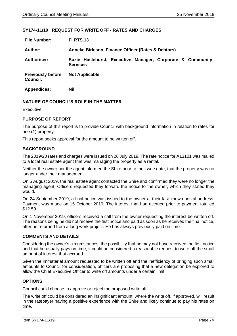## **SY174-11/19 REQUEST FOR WRITE OFF - RATES AND CHARGES**

| <b>File Number:</b>                         | <b>FI.RTS.13</b>                                                              |  |  |  |  |
|---------------------------------------------|-------------------------------------------------------------------------------|--|--|--|--|
| Author:                                     | Anneke Birleson, Finance Officer (Rates & Debtors)                            |  |  |  |  |
| <b>Authoriser:</b>                          | Suzie Haslehurst, Executive Manager, Corporate & Community<br><b>Services</b> |  |  |  |  |
| <b>Previously before</b><br><b>Council:</b> | <b>Not Applicable</b>                                                         |  |  |  |  |
| <b>Appendices:</b>                          | <b>Nil</b>                                                                    |  |  |  |  |

## **NATURE OF COUNCIL'S ROLE IN THE MATTER**

Executive

### **PURPOSE OF REPORT**

The purpose of this report is to provide Council with background information in relation to rates for one (1) property.

This report seeks approval for the amount to be written off.

### **BACKGROUND**

The 2019/20 rates and charges were issued on 26 July 2019. The rate notice for A13101 was mailed to a local real estate agent that was managing the property as a rental.

Neither the owner nor the agent informed the Shire prior to the issue date, that the property was no longer under their management.

On 5 August 2019, the real estate agent contacted the Shire and confirmed they were no longer the managing agent. Officers requested they forward the notice to the owner, which they stated they would.

On 24 September 2019, a final notice was issued to the owner at their last known postal address. Payment was made on 15 October 2019. The interest that had accrued prior to payment totalled \$12.59.

On 1 November 2019, officers received a call from the owner requesting the interest be written off. The reasons being he did not receive the first notice and paid as soon as he received the final notice, after he returned from a long work project. He has always previously paid on time.

## **COMMENTS AND DETAILS**

Considering the owner's circumstances, the possibility that he may not have received the first notice and that he usually pays on time, it could be considered a reasonable request to write off the small amount of interest that accrued.

Given the immaterial amount requested to be written off and the inefficiency of bringing such small amounts to Council for consideration, officers are proposing that a new delegation be explored to allow the Chief Executive Officer to write off amounts under a certain limit.

## **OPTIONS**

Council could choose to approve or reject the proposed write off.

The write off could be considered an insignificant amount, where the write off, if approved, will result in the ratepayer having a positive experience with the Shire and likely continue to pay his rates on time.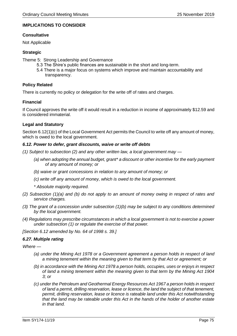## **IMPLICATIONS TO CONSIDER**

## **Consultative**

Not Applicable

## **Strategic**

Theme 5: Strong Leadership and Governance

- 5.3 The Shire's public finances are sustainable in the short and long-term.
- 5.4 There is a major focus on systems which improve and maintain accountability and transparency.

## **Policy Related**

There is currently no policy or delegation for the write off of rates and charges.

## **Financial**

If Council approves the write off it would result in a reduction in income of approximately \$12.59 and is considered immaterial.

## **Legal and Statutory**

Section 6.12(1)(c) of the Local Government Act permits the Council to write off any amount of money, which is owed to the local government.

## *6.12. Power to defer, grant discounts, waive or write off debts*

- *(1) Subject to subsection (2) and any other written law, a local government may —*
	- *(a) when adopting the annual budget, grant\* a discount or other incentive for the early payment of any amount of money; or*
	- *(b) waive or grant concessions in relation to any amount of money; or*
	- *(c) write off any amount of money, which is owed to the local government.*
	- *\* Absolute majority required.*
- *(2) Subsection (1)(a) and (b) do not apply to an amount of money owing in respect of rates and service charges.*
- *(3) The grant of a concession under subsection (1)(b) may be subject to any conditions determined by the local government.*
- *(4) Regulations may prescribe circumstances in which a local government is not to exercise a power under subsection (1) or regulate the exercise of that power.*

*[Section 6.12 amended by No. 64 of 1998 s. 39.]*

## *6.27. Multiple rating*

*Where —*

- *(a) under the Mining Act 1978 or a Government agreement a person holds in respect of land a mining tenement within the meaning given to that term by that Act or agreement; or*
- *(b) in accordance with the Mining Act 1978 a person holds, occupies, uses or enjoys in respect of land a mining tenement within the meaning given to that term by the Mining Act 1904 3; or*
- *(c) under the Petroleum and Geothermal Energy Resources Act 1967 a person holds in respect of land a permit, drilling reservation, lease or licence, the land the subject of that tenement, permit, drilling reservation, lease or licence is rateable land under this Act notwithstanding that the land may be rateable under this Act in the hands of the holder of another estate in that land.*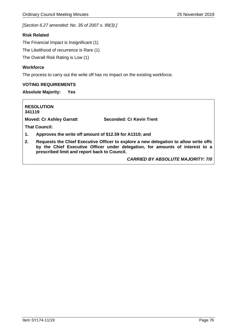*[Section 6.27 amended: No. 35 of 2007 s. 99(3).]*

## **Risk Related**

The Financial Impact is Insignificant (1)

The Likelihood of recurrence is Rare (1)

The Overall Risk Rating is Low (1)

## **Workforce**

The process to carry out the write off has no impact on the existing workforce.

## **VOTING REQUIREMENTS**

## **Absolute Majority: Yes**

**RESOLUTION 341119**

**Moved: Cr Ashley Garratt Seconded: Cr Kevin Trent**

**That Council:**

- **1. Approves the write off amount of \$12.59 for A1310; and**
- **2. Requests the Chief Executive Officer to explore a new delegation to allow write offs by the Chief Executive Officer under delegation, for amounts of interest to a prescribed limit and report back to Council.**

*CARRIED BY ABSOLUTE MAJORITY: 7/0*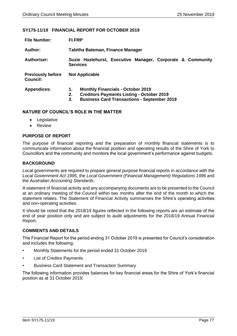### **SY175-11/19 FINANCIAL REPORT FOR OCTOBER 2019**

| <b>File Number:</b>                         | <b>FI.FRP</b>                                                                                                                                      |  |  |  |  |
|---------------------------------------------|----------------------------------------------------------------------------------------------------------------------------------------------------|--|--|--|--|
| Author:                                     | Tabitha Bateman, Finance Manager                                                                                                                   |  |  |  |  |
| Authoriser:                                 | Suzie Haslehurst, Executive Manager, Corporate & Community<br><b>Services</b>                                                                      |  |  |  |  |
| <b>Previously before</b><br><b>Council:</b> | <b>Not Applicable</b>                                                                                                                              |  |  |  |  |
| <b>Appendices:</b>                          | <b>Monthly Financials - October 2019</b><br><b>Creditors Payments Listing - October 2019</b><br><b>Business Card Transactions - September 2019</b> |  |  |  |  |

### **NATURE OF COUNCIL'S ROLE IN THE MATTER**

- Legislative
- Review

## **PURPOSE OF REPORT**

The purpose of financial reporting and the preparation of monthly financial statements is to communicate information about the financial position and operating results of the Shire of York to Councillors and the community and monitors the local government's performance against budgets.

## **BACKGROUND**

Local governments are required to prepare general purpose financial reports in accordance with the *Local Government Act 1995*, the *Local Government (Financial Management) Regulations 1996* and the *Australian Accounting Standards*.

A statement of financial activity and any accompanying documents are to be presented to the Council at an ordinary meeting of the Council within two months after the end of the month to which the statement relates. The Statement of Financial Activity summarises the Shire's operating activities and non-operating activities.

It should be noted that the 2018/19 figures reflected in the following reports are an estimate of the end of year position only and are subject to audit adjustments for the 2018/19 Annual Financial Report.

## **COMMENTS AND DETAILS**

The Financial Report for the period ending 31 October 2019 is presented for Council's consideration and includes the following;

- Monthly Statements for the period ended 31 October 2019
- List of Creditor Payments
- Business Card Statement and Transaction Summary

The following information provides balances for key financial areas for the Shire of York's financial position as at 31 October 2019;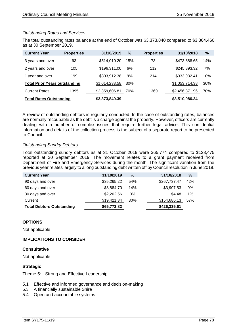## *Outstanding Rates and Services*

The total outstanding rates balance at the end of October was \$3,373,840 compared to \$3,864,460 as at 30 September 2019.

| <b>Current Year</b>                  | <b>Properties</b> | 31/10/2019     | %   | <b>Properties</b> | 31/10/2018     | $\%$ |
|--------------------------------------|-------------------|----------------|-----|-------------------|----------------|------|
| 3 years and over                     | 93                | \$514,010.20   | 15% | 73                | \$473,888.65   | 14%  |
| 2 years and over                     | 105               | \$196,311.00   | 6%  | 112               | \$245,893.32   | 7%   |
| 1 year and over                      | 199               | \$303,912.38   | 9%  | 214               | \$333,932.41   | 10%  |
| <b>Total Prior Years outstanding</b> |                   | \$1,014,233.58 | 30% |                   | \$1,053,714.38 | 30%  |
| <b>Current Rates</b>                 | 1395              | \$2,359,606.81 | 70% | 1369              | \$2,456,371.96 | 70%  |
| <b>Total Rates Outstanding</b>       |                   | \$3,373,840.39 |     |                   | \$3,510,086.34 |      |

A review of outstanding debtors is regularly conducted. In the case of outstanding rates, balances are normally recoupable as the debt is a charge against the property. However, officers are currently dealing with a number of complex issues that require further legal advice. This confidential information and details of the collection process is the subject of a separate report to be presented to Council.

### *Outstanding Sundry Debtors*

Total outstanding sundry debtors as at 31 October 2019 were \$65,774 compared to \$128,475 reported at 30 September 2019. The movement relates to a grant payment received from Department of Fire and Emergency Services during the month. The significant variation from the previous year relates largely to a long outstanding debt written off by Council resolution in June 2019.

| <b>Current Year</b>              | 31/10/2019  | $\%$ | 31/10/2018   | $\frac{9}{6}$ |
|----------------------------------|-------------|------|--------------|---------------|
| 90 days and over                 | \$35,265.22 | 54%  | \$267,737.47 | 42%           |
| 60 days and over                 | \$8,884.70  | 14%  | \$3,907.53   | 0%            |
| 30 days and over                 | \$2,202.56  | 3%   | \$4.48       | $1\%$         |
| Current                          | \$19,421.34 | 30%  | \$154,686.13 | 57%           |
| <b>Total Debtors Outstanding</b> | \$65,773.82 |      | \$426,335.61 |               |

## **OPTIONS**

Not applicable

## **IMPLICATIONS TO CONSIDER**

### **Consultative**

Not applicable

## **Strategic**

Theme 5: Strong and Effective Leadership

- 5.1 Effective and informed governance and decision-making
- 5.3 A financially sustainable Shire
- 5.4 Open and accountable systems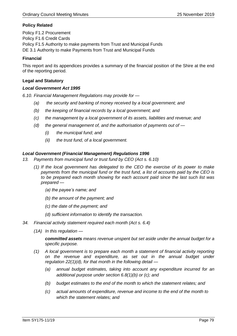## **Policy Related**

Policy F1.2 Procurement Policy F1.6 Credit Cards Policy F1.5 Authority to make payments from Trust and Municipal Funds DE 3.1 Authority to make Payments from Trust and Municipal Funds

## **Financial**

This report and its appendices provides a summary of the financial position of the Shire at the end of the reporting period.

### **Legal and Statutory**

### *Local Government Act 1995*

*6.10. Financial Management Regulations may provide for —*

- *(a) the security and banking of money received by a local government; and*
- *(b) the keeping of financial records by a local government; and*
- *(c) the management by a local government of its assets, liabilities and revenue; and*
- *(d) the general management of, and the authorisation of payments out of —*
	- *(i) the municipal fund; and*
	- *(ii) the trust fund, of a local government.*

### *Local Government (Financial Management) Regulations 1996*

- *13. Payments from municipal fund or trust fund by CEO (Act s. 6.10)*
	- *(1) If the local government has delegated to the CEO the exercise of its power to make payments from the municipal fund or the trust fund, a list of accounts paid by the CEO is to be prepared each month showing for each account paid since the last such list was prepared —*
		- *(a) the payee's name; and*
		- *(b) the amount of the payment; and*
		- *(c) the date of the payment; and*
		- *(d) sufficient information to identify the transaction.*
- *34. Financial activity statement required each month (Act s. 6.4)*
	- *(1A) In this regulation —*

*committed assets means revenue unspent but set aside under the annual budget for a specific purpose.*

- *(1) A local government is to prepare each month a statement of financial activity reporting on the revenue and expenditure, as set out in the annual budget under regulation 22(1)(d), for that month in the following detail —*
	- *(a) annual budget estimates, taking into account any expenditure incurred for an additional purpose under section 6.8(1)(b) or (c); and*
	- *(b) budget estimates to the end of the month to which the statement relates; and*
	- *(c) actual amounts of expenditure, revenue and income to the end of the month to which the statement relates; and*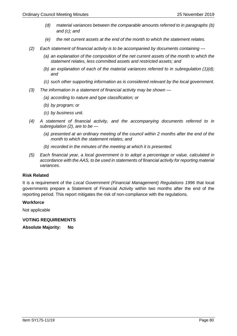- *(d) material variances between the comparable amounts referred to in paragraphs (b) and (c); and*
- *(e) the net current assets at the end of the month to which the statement relates.*
- *(2) Each statement of financial activity is to be accompanied by documents containing —*
	- *(a) an explanation of the composition of the net current assets of the month to which the statement relates, less committed assets and restricted assets; and*
	- *(b) an explanation of each of the material variances referred to in subregulation (1)(d); and*
	- *(c) such other supporting information as is considered relevant by the local government.*
- *(3) The information in a statement of financial activity may be shown —*
	- *(a) according to nature and type classification; or*
	- *(b) by program; or*
	- *(c) by business unit.*
- *(4) A statement of financial activity, and the accompanying documents referred to in subregulation (2), are to be —*
	- *(a) presented at an ordinary meeting of the council within 2 months after the end of the month to which the statement relates; and*
	- *(b) recorded in the minutes of the meeting at which it is presented.*
- *(5) Each financial year, a local government is to adopt a percentage or value, calculated in accordance with the AAS, to be used in statements of financial activity for reporting material variances.*

#### **Risk Related**

It is a requirement of the *Local Government (Financial Management) Regulations 1996* that local governments prepare a Statement of Financial Activity within two months after the end of the reporting period. This report mitigates the risk of non-compliance with the regulations.

#### **Workforce**

Not applicable

**VOTING REQUIREMENTS** 

**Absolute Majority: No**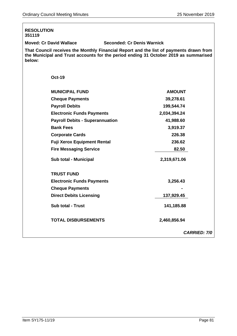| <b>RESOLUTION</b><br>351119            |                                                                                                                                                                                |
|----------------------------------------|--------------------------------------------------------------------------------------------------------------------------------------------------------------------------------|
| <b>Moved: Cr David Wallace</b>         | <b>Seconded: Cr Denis Warnick</b>                                                                                                                                              |
| below:                                 | That Council receives the Monthly Financial Report and the list of payments drawn from<br>the Municipal and Trust accounts for the period ending 31 October 2019 as summarised |
| <b>Oct-19</b>                          |                                                                                                                                                                                |
| <b>MUNICIPAL FUND</b>                  | <b>AMOUNT</b>                                                                                                                                                                  |
| <b>Cheque Payments</b>                 | 39,278.61                                                                                                                                                                      |
| <b>Payroll Debits</b>                  | 199,544.74                                                                                                                                                                     |
| <b>Electronic Funds Payments</b>       | 2,034,394.24                                                                                                                                                                   |
| <b>Payroll Debits - Superannuation</b> | 41,988.60                                                                                                                                                                      |
| <b>Bank Fees</b>                       | 3,919.37                                                                                                                                                                       |
| <b>Corporate Cards</b>                 | 226.38                                                                                                                                                                         |
| <b>Fuji Xerox Equipment Rental</b>     | 236.62                                                                                                                                                                         |
| <b>Fire Messaging Service</b>          | 82.50                                                                                                                                                                          |
| Sub total - Municipal                  | 2,319,671.06                                                                                                                                                                   |
| <b>TRUST FUND</b>                      |                                                                                                                                                                                |
| <b>Electronic Funds Payments</b>       | 3,256.43                                                                                                                                                                       |
| <b>Cheque Payments</b>                 |                                                                                                                                                                                |
| <b>Direct Debits Licensing</b>         | 137,929.45                                                                                                                                                                     |
| <b>Sub total - Trust</b>               | 141,185.88                                                                                                                                                                     |
| <b>TOTAL DISBURSEMENTS</b>             | 2,460,856.94                                                                                                                                                                   |
|                                        | <b>CARRIED: 7/0</b>                                                                                                                                                            |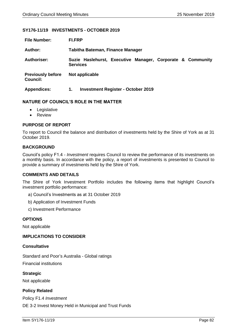### **SY176-11/19 INVESTMENTS - OCTOBER 2019**

| <b>File Number:</b>                         | <b>FI.FRP</b>                                                                 |  |  |  |
|---------------------------------------------|-------------------------------------------------------------------------------|--|--|--|
| Author:                                     | Tabitha Bateman, Finance Manager                                              |  |  |  |
| <b>Authoriser:</b>                          | Suzie Haslehurst, Executive Manager, Corporate & Community<br><b>Services</b> |  |  |  |
| <b>Previously before</b><br><b>Council:</b> | Not applicable                                                                |  |  |  |
| <b>Appendices:</b>                          | <b>Investment Register - October 2019</b><br>1.                               |  |  |  |

### **NATURE OF COUNCIL'S ROLE IN THE MATTER**

- Legislative
- Review

## **PURPOSE OF REPORT**

To report to Council the balance and distribution of investments held by the Shire of York as at 31 October 2019.

### **BACKGROUND**

Council's policy F1.4 - *Investment* requires Council to review the performance of its investments on a monthly basis. In accordance with the policy, a report of investments is presented to Council to provide a summary of investments held by the Shire of York.

#### **COMMENTS AND DETAILS**

The Shire of York Investment Portfolio includes the following items that highlight Council's investment portfolio performance:

- a) Council's Investments as at 31 October 2019
- b) Application of Investment Funds
- c) Investment Performance

### **OPTIONS**

Not applicable

#### **IMPLICATIONS TO CONSIDER**

#### **Consultative**

Standard and Poor's Australia - Global ratings Financial institutions

**Strategic** Not applicable

## **Policy Related**

Policy F1.4 *Investment* DE 3-2 Invest Money Held in Municipal and Trust Funds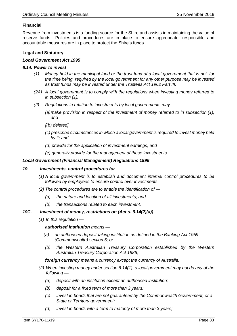## **Financial**

Revenue from investments is a funding source for the Shire and assists in maintaining the value of reserve funds. Policies and procedures are in place to ensure appropriate, responsible and accountable measures are in place to protect the Shire's funds.

## **Legal and Statutory**

### *Local Government Act 1995*

### *6.14. Power to invest*

- *(1) Money held in the municipal fund or the trust fund of a local government that is not, for the time being, required by the local government for any other purpose may be invested as trust funds may be invested under the Trustees Act 1962 Part III.*
- *(2A) A local government is to comply with the regulations when investing money referred to in subsection (1).*
- *(2) Regulations in relation to investments by local governments may —*
	- *(a)make provision in respect of the investment of money referred to in subsection (1); and*
	- *[(b) deleted]*
	- *(c) prescribe circumstances in which a local government is required to invest money held by it; and*
	- *(d) provide for the application of investment earnings; and*
	- *(e) generally provide for the management of those investments.*

### *Local Government (Financial Management) Regulations 1996*

#### *19. Investments, control procedures for*

- *(1) A local government is to establish and document internal control procedures to be followed by employees to ensure control over investments.*
- *(2) The control procedures are to enable the identification of —*
	- *(a) the nature and location of all investments; and*
	- *(b) the transactions related to each investment.*

## *19C. Investment of money, restrictions on (Act s. 6.14(2)(a))*

*(1) In this regulation —*

*authorised institution means —*

- *(a) an authorised deposit-taking institution as defined in the Banking Act 1959 (Commonwealth) section 5; or*
- *(b) the Western Australian Treasury Corporation established by the Western Australian Treasury Corporation Act 1986;*

*foreign currency means a currency except the currency of Australia.*

- *(2) When investing money under section 6.14(1), a local government may not do any of the following —*
	- *(a) deposit with an institution except an authorised institution;*
	- *(b) deposit for a fixed term of more than 3 years;*
	- *(c) invest in bonds that are not guaranteed by the Commonwealth Government, or a State or Territory government;*
	- *(d) invest in bonds with a term to maturity of more than 3 years;*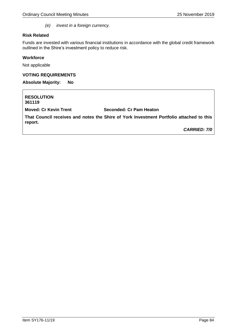*(e) invest in a foreign currency.*

### **Risk Related**

Funds are invested with various financial institutions in accordance with the global credit framework outlined in the Shire's investment policy to reduce risk.

### **Workforce**

Not applicable

### **VOTING REQUIREMENTS**

**Absolute Majority: No**

**RESOLUTION 361119 Moved: Cr Kevin Trent Seconded: Cr Pam Heaton That Council receives and notes the Shire of York Investment Portfolio attached to this report.** *CARRIED: 7/0*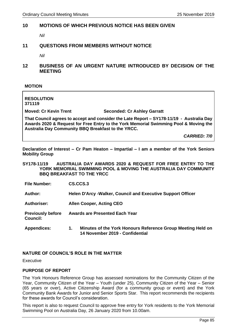## **10 MOTIONS OF WHICH PREVIOUS NOTICE HAS BEEN GIVEN**

*Nil*

## **11 QUESTIONS FROM MEMBERS WITHOUT NOTICE**

*Nil*

**12 BUSINESS OF AN URGENT NATURE INTRODUCED BY DECISION OF THE MEETING**

**MOTION**

**RESOLUTION 371119**

**Moved: Cr Kevin Trent Seconded: Cr Ashley Garratt**

**That Council agrees to accept and consider the Late Report – SY178-11/19 - Australia Day Awards 2020 & Request for Free Entry to the York Memorial Swimming Pool & Moving the Australia Day Community BBQ Breakfast to the YRCC.**

*CARRIED: 7/0*

**Declaration of Interest – Cr Pam Heaton – Impartial – I am a member of the York Seniors Mobility Group**

**SY178-11/19 AUSTRALIA DAY AWARDS 2020 & REQUEST FOR FREE ENTRY TO THE YORK MEMORIAL SWIMMING POOL & MOVING THE AUSTRALIA DAY COMMUNITY BBQ BREAKFAST TO THE YRCC**

**File Number: CS.CCS.3**

**Author: Helen D'Arcy -Walker, Council and Executive Support Officer**

**Authoriser: Allen Cooper, Acting CEO**

**Previously before Awards are Presented Each Year**

**Council:**

**Appendices: 1. Minutes of the York Honours Reference Group Meeting Held on 14 November 2019 - Confidential** 

## **NATURE OF COUNCIL'S ROLE IN THE MATTER**

Executive

### **PURPOSE OF REPORT**

The York Honours Reference Group has assessed nominations for the Community Citizen of the Year, Community Citizen of the Year – Youth (under 25), Community Citizen of the Year – Senior (65 years or over), Active Citizenship Award (for a community group or event) and the York Community Bank Awards for Junior and Senior Sports Star. This report recommends the recipients for these awards for Council's consideration.

This report is also to request Council to approve free entry for York residents to the York Memorial Swimming Pool on Australia Day, 26 January 2020 from 10.00am.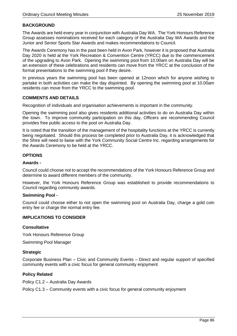## **BACKGROUND**

The Awards are held every year in conjunction with Australia Day WA. The York Honours Reference Group assesses nominations received for each category of the Australia Day WA Awards and the Junior and Senior Sports Star Awards and makes recommendations to Council.

The Awards Ceremony has in the past been held in Avon Park, however it is proposed that Australia Day 2020 is held at the York Recreation & Convention Centre (YRCC) due to the commencement of the upgrading to Avon Park. Opening the swimming pool from 10.00am on Australia Day will be an extension of these celebrations and residents can move from the YRCC at the conclusion of the formal presentations to the swimming pool if they desire.

In previous years the swimming pool has been opened at 12noon which for anyone wishing to partake in both activities can make the day disjointed. By opening the swimming pool at 10.00am residents can move from the YRCC to the swimming pool.

### **COMMENTS AND DETAILS**

Recognition of individuals and organisation achievements is important in the community.

Opening the swimming pool also gives residents additional activities to do on Australia Day within the town. To improve community participation on this day, Officers are recommending Council provides free public access to the pool on Australia Day.

It is noted that the transition of the management of the hospitality functions at the YRCC is currently being negotiated. Should this process be completed prior to Australia Day, it is acknowledged that the Shire will need to liaise with the York Community Social Centre Inc. regarding arrangements for the Awards Ceremony to be held at the YRCC.

## **OPTIONS**

### **Awards -**

Council could choose not to accept the recommendations of the York Honours Reference Group and determine to award different members of the community.

However, the York Honours Reference Group was established to provide recommendations to Council regarding community awards.

### **Swimming Pool -**

Council could choose either to not open the swimming pool on Australia Day, charge a gold coin entry fee or charge the normal entry fee.

## **IMPLICATIONS TO CONSIDER**

#### **Consultative**

York Honours Reference Group

Swimming Pool Manager

#### **Strategic**

Corporate Business Plan – Civic and Community Events – Direct and regular support of specified community events with a civic focus for general community enjoyment

## **Policy Related**

Policy C1.2 – Australia Day Awards

Policy C1.3 – Community events with a civic focus for general community enjoyment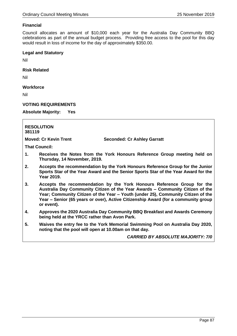## **Financial**

Council allocates an amount of \$10,000 each year for the Australia Day Community BBQ celebrations as part of the annual budget process. Providing free access to the pool for this day would result in loss of income for the day of approximately \$350.00.

### **Legal and Statutory**

Nil

**Risk Related**

Nil

## **Workforce**

Nil

## **VOTING REQUIREMENTS**

**Absolute Majority: Yes**

| <b>RESOLUTION</b> |  |
|-------------------|--|
| 381119            |  |

**Moved: Cr Kevin Trent Seconded: Cr Ashley Garratt**

**That Council:**

- **1. Receives the Notes from the York Honours Reference Group meeting held on Thursday, 14 November, 2019.**
- **2. Accepts the recommendation by the York Honours Reference Group for the Junior Sports Star of the Year Award and the Senior Sports Star of the Year Award for the Year 2019.**
- **3. Accepts the recommendation by the York Honours Reference Group for the Australia Day Community Citizen of the Year Awards – Community Citizen of the Year; Community Citizen of the Year – Youth (under 25), Community Citizen of the Year – Senior (65 years or over), Active Citizenship Award (for a community group or event).**
- **4. Approves the 2020 Australia Day Community BBQ Breakfast and Awards Ceremony being held at the YRCC rather than Avon Park.**
- **5. Waives the entry fee to the York Memorial Swimming Pool on Australia Day 2020, noting that the pool will open at 10.00am on that day.**

*CARRIED BY ABSOLUTE MAJORITY: 7/0*